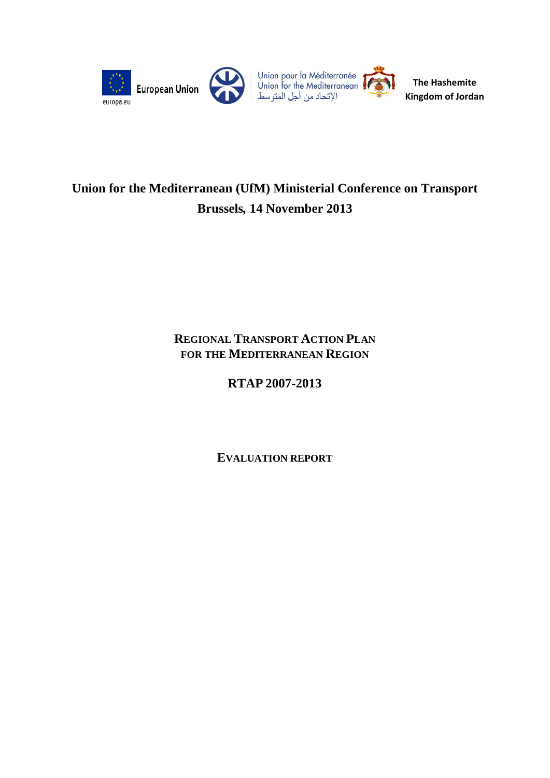

# **Union for the Mediterranean (UfM) Ministerial Conference on Transport Brussels***,* **14 November 2013**

# **REGIONAL TRANSPORT ACTION PLAN FOR THE MEDITERRANEAN REGION**

# **RTAP 2007-2013**

**EVALUATION REPORT**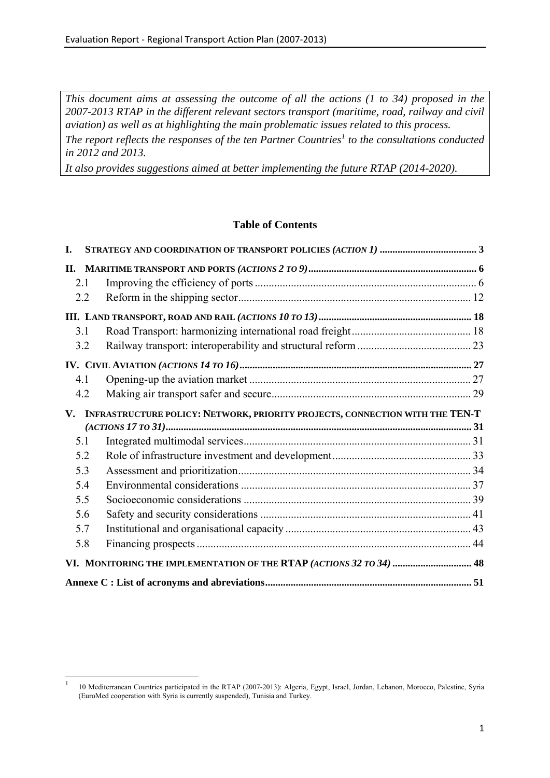*This document aims at assessing the outcome of all the actions (1 to 34) proposed in the 2007-2013 RTAP in the different relevant sectors transport (maritime, road, railway and civil aviation) as well as at highlighting the main problematic issues related to this process.* 

The report reflects the responses of the ten Partner Countries<sup>1</sup> to the consultations conducted *in 2012 and 2013.* 

*It also provides suggestions aimed at better implementing the future RTAP (2014-2020).* 

# **Table of Contents**

| I.  |                                                                              |  |
|-----|------------------------------------------------------------------------------|--|
| П.  |                                                                              |  |
| 2.1 |                                                                              |  |
| 2.2 |                                                                              |  |
|     |                                                                              |  |
| 3.1 |                                                                              |  |
| 3.2 |                                                                              |  |
|     |                                                                              |  |
| 4.1 |                                                                              |  |
| 4.2 |                                                                              |  |
| V.  | INFRASTRUCTURE POLICY: NETWORK, PRIORITY PROJECTS, CONNECTION WITH THE TEN-T |  |
|     |                                                                              |  |
| 5.1 |                                                                              |  |
| 5.2 |                                                                              |  |
| 5.3 |                                                                              |  |
| 5.4 |                                                                              |  |
| 5.5 |                                                                              |  |
| 5.6 |                                                                              |  |
| 5.7 |                                                                              |  |
| 5.8 |                                                                              |  |
|     | VI. MONITORING THE IMPLEMENTATION OF THE RTAP (ACTIONS 32 TO 34)  48         |  |
|     |                                                                              |  |

1

<sup>1</sup> 10 Mediterranean Countries participated in the RTAP (2007-2013): Algeria, Egypt, Israel, Jordan, Lebanon, Morocco, Palestine, Syria (EuroMed cooperation with Syria is currently suspended), Tunisia and Turkey.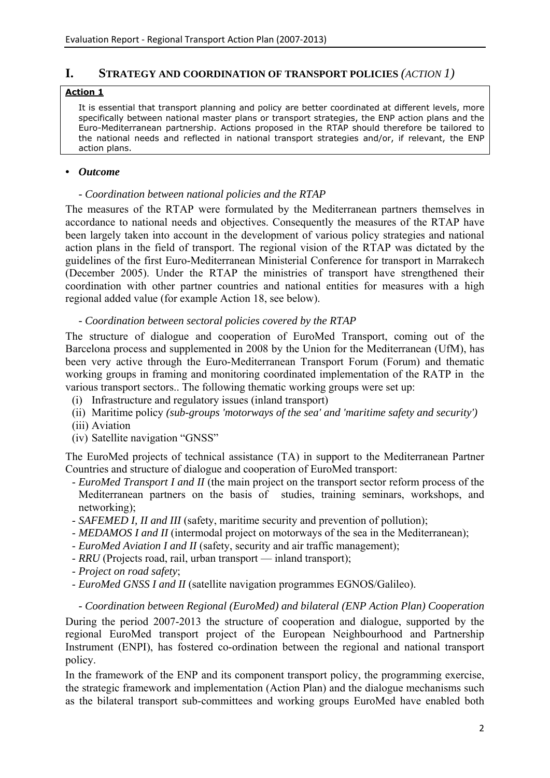### <span id="page-2-0"></span>**I. STRATEGY AND COORDINATION OF TRANSPORT POLICIES** *(ACTION 1)*

#### **Action 1**

It is essential that transport planning and policy are better coordinated at different levels, more specifically between national master plans or transport strategies, the ENP action plans and the Euro-Mediterranean partnership. Actions proposed in the RTAP should therefore be tailored to the national needs and reflected in national transport strategies and/or, if relevant, the ENP action plans.

#### *• Outcome*

#### *- Coordination between national policies and the RTAP*

The measures of the RTAP were formulated by the Mediterranean partners themselves in accordance to national needs and objectives. Consequently the measures of the RTAP have been largely taken into account in the development of various policy strategies and national action plans in the field of transport. The regional vision of the RTAP was dictated by the guidelines of the first Euro-Mediterranean Ministerial Conference for transport in Marrakech (December 2005). Under the RTAP the ministries of transport have strengthened their coordination with other partner countries and national entities for measures with a high regional added value (for example Action 18, see below).

### *- Coordination between sectoral policies covered by the RTAP*

The structure of dialogue and cooperation of EuroMed Transport, coming out of the Barcelona process and supplemented in 2008 by the Union for the Mediterranean (UfM), has been very active through the Euro-Mediterranean Transport Forum (Forum) and thematic working groups in framing and monitoring coordinated implementation of the RATP in the various transport sectors.. The following thematic working groups were set up:

- (i) Infrastructure and regulatory issues (inland transport)
- (ii) Maritime policy *(sub-groups 'motorways of the sea' and 'maritime safety and security')*
- (iii) Aviation
- (iv) Satellite navigation "GNSS"

The EuroMed projects of technical assistance (TA) in support to the Mediterranean Partner Countries and structure of dialogue and cooperation of EuroMed transport:

- *EuroMed Transport I and II* (the main project on the transport sector reform process of the Mediterranean partners on the basis of studies, training seminars, workshops, and networking);
- *SAFEMED I, II and III* (safety, maritime security and prevention of pollution);
- *MEDAMOS I and II* (intermodal project on motorways of the sea in the Mediterranean);
- *EuroMed Aviation I and II* (safety, security and air traffic management);
- *RRU* (Projects road, rail, urban transport inland transport);
- *Project on road safety*;
- *EuroMed GNSS I and II* (satellite navigation programmes EGNOS/Galileo).

*- Coordination between Regional (EuroMed) and bilateral (ENP Action Plan) Cooperation*  During the period 2007-2013 the structure of cooperation and dialogue, supported by the regional EuroMed transport project of the European Neighbourhood and Partnership Instrument (ENPI), has fostered co-ordination between the regional and national transport policy.

In the framework of the ENP and its component transport policy, the programming exercise, the strategic framework and implementation (Action Plan) and the dialogue mechanisms such as the bilateral transport sub-committees and working groups EuroMed have enabled both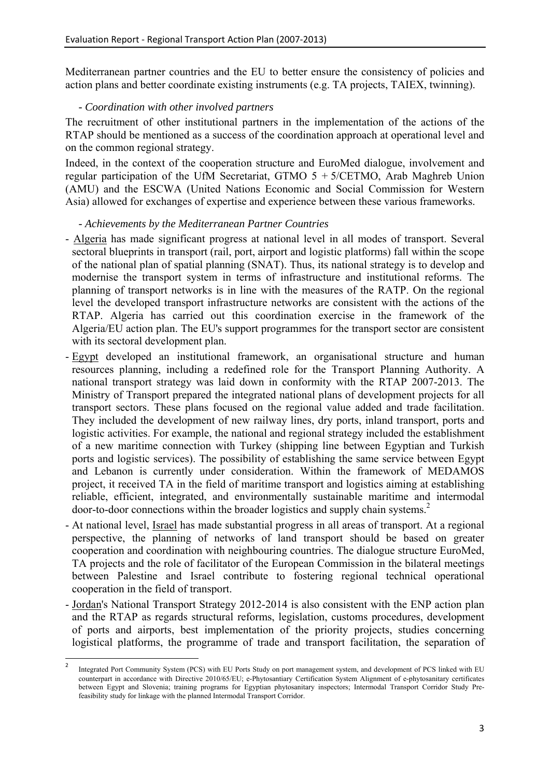Mediterranean partner countries and the EU to better ensure the consistency of policies and action plans and better coordinate existing instruments (e.g. TA projects, TAIEX, twinning).

# *- Coordination with other involved partners*

The recruitment of other institutional partners in the implementation of the actions of the RTAP should be mentioned as a success of the coordination approach at operational level and on the common regional strategy.

Indeed, in the context of the cooperation structure and EuroMed dialogue, involvement and regular participation of the UfM Secretariat, GTMO 5 + 5/CETMO, Arab Maghreb Union (AMU) and the ESCWA (United Nations Economic and Social Commission for Western Asia) allowed for exchanges of expertise and experience between these various frameworks.

# *- Achievements by the Mediterranean Partner Countries*

- Algeria has made significant progress at national level in all modes of transport. Several sectoral blueprints in transport (rail, port, airport and logistic platforms) fall within the scope of the national plan of spatial planning (SNAT). Thus, its national strategy is to develop and modernise the transport system in terms of infrastructure and institutional reforms. The planning of transport networks is in line with the measures of the RATP. On the regional level the developed transport infrastructure networks are consistent with the actions of the RTAP. Algeria has carried out this coordination exercise in the framework of the Algeria/EU action plan. The EU's support programmes for the transport sector are consistent with its sectoral development plan.
- Egypt developed an institutional framework, an organisational structure and human resources planning, including a redefined role for the Transport Planning Authority. A national transport strategy was laid down in conformity with the RTAP 2007-2013. The Ministry of Transport prepared the integrated national plans of development projects for all transport sectors. These plans focused on the regional value added and trade facilitation. They included the development of new railway lines, dry ports, inland transport, ports and logistic activities. For example, the national and regional strategy included the establishment of a new maritime connection with Turkey (shipping line between Egyptian and Turkish ports and logistic services). The possibility of establishing the same service between Egypt and Lebanon is currently under consideration. Within the framework of MEDAMOS project, it received TA in the field of maritime transport and logistics aiming at establishing reliable, efficient, integrated, and environmentally sustainable maritime and intermodal door-to-door connections within the broader logistics and supply chain systems.<sup>2</sup>
- At national level, Israel has made substantial progress in all areas of transport. At a regional perspective, the planning of networks of land transport should be based on greater cooperation and coordination with neighbouring countries. The dialogue structure EuroMed, TA projects and the role of facilitator of the European Commission in the bilateral meetings between Palestine and Israel contribute to fostering regional technical operational cooperation in the field of transport.
- Jordan's National Transport Strategy 2012-2014 is also consistent with the ENP action plan and the RTAP as regards structural reforms, legislation, customs procedures, development of ports and airports, best implementation of the priority projects, studies concerning logistical platforms, the programme of trade and transport facilitation, the separation of

 $\frac{1}{2}$  Integrated Port Community System (PCS) with EU Ports Study on port management system, and development of PCS linked with EU counterpart in accordance with Directive 2010/65/EU; e-Phytosantiary Certification System Alignment of e-phytosanitary certificates between Egypt and Slovenia; training programs for Egyptian phytosanitary inspectors; Intermodal Transport Corridor Study Prefeasibility study for linkage with the planned Intermodal Transport Corridor.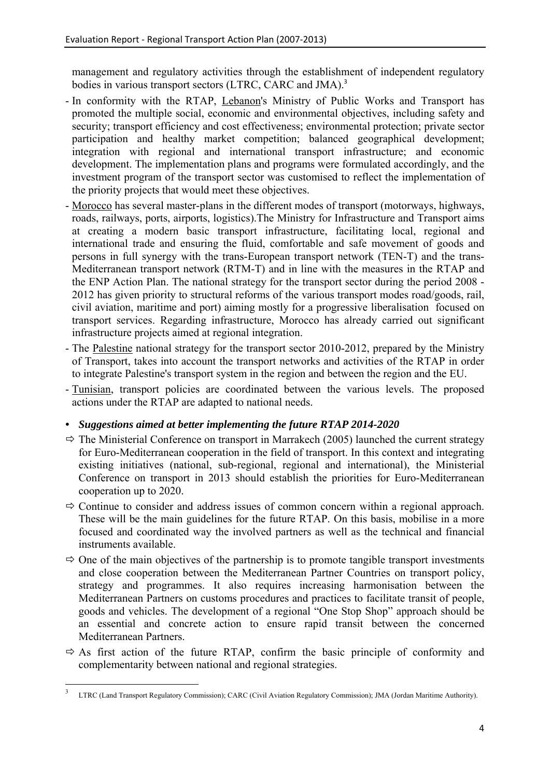management and regulatory activities through the establishment of independent regulatory bodies in various transport sectors (LTRC, CARC and JMA).<sup>3</sup>

- In conformity with the RTAP, Lebanon's Ministry of Public Works and Transport has promoted the multiple social, economic and environmental objectives, including safety and security; transport efficiency and cost effectiveness; environmental protection; private sector participation and healthy market competition; balanced geographical development; integration with regional and international transport infrastructure; and economic development. The implementation plans and programs were formulated accordingly, and the investment program of the transport sector was customised to reflect the implementation of the priority projects that would meet these objectives.
- Morocco has several master-plans in the different modes of transport (motorways, highways, roads, railways, ports, airports, logistics).The Ministry for Infrastructure and Transport aims at creating a modern basic transport infrastructure, facilitating local, regional and international trade and ensuring the fluid, comfortable and safe movement of goods and persons in full synergy with the trans-European transport network (TEN-T) and the trans-Mediterranean transport network (RTM-T) and in line with the measures in the RTAP and the ENP Action Plan. The national strategy for the transport sector during the period 2008 - 2012 has given priority to structural reforms of the various transport modes road/goods, rail, civil aviation, maritime and port) aiming mostly for a progressive liberalisation focused on transport services. Regarding infrastructure, Morocco has already carried out significant infrastructure projects aimed at regional integration.
- The Palestine national strategy for the transport sector 2010-2012, prepared by the Ministry of Transport, takes into account the transport networks and activities of the RTAP in order to integrate Palestine's transport system in the region and between the region and the EU.
- Tunisian, transport policies are coordinated between the various levels. The proposed actions under the RTAP are adapted to national needs.

# *• Suggestions aimed at better implementing the future RTAP 2014-2020*

- $\Rightarrow$  The Ministerial Conference on transport in Marrakech (2005) launched the current strategy for Euro-Mediterranean cooperation in the field of transport. In this context and integrating existing initiatives (national, sub-regional, regional and international), the Ministerial Conference on transport in 2013 should establish the priorities for Euro-Mediterranean cooperation up to 2020.
- $\Rightarrow$  Continue to consider and address issues of common concern within a regional approach. These will be the main guidelines for the future RTAP. On this basis, mobilise in a more focused and coordinated way the involved partners as well as the technical and financial instruments available.
- $\Rightarrow$  One of the main objectives of the partnership is to promote tangible transport investments and close cooperation between the Mediterranean Partner Countries on transport policy, strategy and programmes. It also requires increasing harmonisation between the Mediterranean Partners on customs procedures and practices to facilitate transit of people, goods and vehicles. The development of a regional "One Stop Shop" approach should be an essential and concrete action to ensure rapid transit between the concerned Mediterranean Partners.
- $\Rightarrow$  As first action of the future RTAP, confirm the basic principle of conformity and complementarity between national and regional strategies.

**<sup>.</sup>** <sup>3</sup> LTRC (Land Transport Regulatory Commission); CARC (Civil Aviation Regulatory Commission); JMA (Jordan Maritime Authority).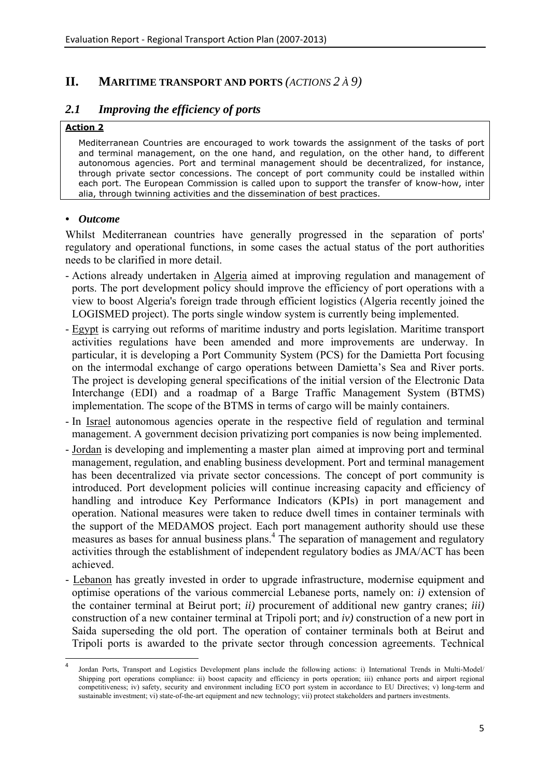# <span id="page-5-0"></span>**II. MARITIME TRANSPORT AND PORTS** *(ACTIONS 2 À 9)*

# <span id="page-5-1"></span>*2.1 Improving the efficiency of ports*

#### **Action 2**

Mediterranean Countries are encouraged to work towards the assignment of the tasks of port and terminal management, on the one hand, and regulation, on the other hand, to different autonomous agencies. Port and terminal management should be decentralized, for instance, through private sector concessions. The concept of port community could be installed within each port. The European Commission is called upon to support the transfer of know-how, inter alia, through twinning activities and the dissemination of best practices.

#### *• Outcome*

1

Whilst Mediterranean countries have generally progressed in the separation of ports' regulatory and operational functions, in some cases the actual status of the port authorities needs to be clarified in more detail.

- Actions already undertaken in Algeria aimed at improving regulation and management of ports. The port development policy should improve the efficiency of port operations with a view to boost Algeria's foreign trade through efficient logistics (Algeria recently joined the LOGISMED project). The ports single window system is currently being implemented.
- Egypt is carrying out reforms of maritime industry and ports legislation. Maritime transport activities regulations have been amended and more improvements are underway. In particular, it is developing a Port Community System (PCS) for the Damietta Port focusing on the intermodal exchange of cargo operations between Damietta's Sea and River ports. The project is developing general specifications of the initial version of the Electronic Data Interchange (EDI) and a roadmap of a Barge Traffic Management System (BTMS) implementation. The scope of the BTMS in terms of cargo will be mainly containers.
- In Israel autonomous agencies operate in the respective field of regulation and terminal management. A government decision privatizing port companies is now being implemented.
- Jordan is developing and implementing a master plan aimed at improving port and terminal management, regulation, and enabling business development. Port and terminal management has been decentralized via private sector concessions. The concept of port community is introduced. Port development policies will continue increasing capacity and efficiency of handling and introduce Key Performance Indicators (KPIs) in port management and operation. National measures were taken to reduce dwell times in container terminals with the support of the MEDAMOS project. Each port management authority should use these measures as bases for annual business plans.<sup>4</sup> The separation of management and regulatory activities through the establishment of independent regulatory bodies as JMA/ACT has been achieved.
- Lebanon has greatly invested in order to upgrade infrastructure, modernise equipment and optimise operations of the various commercial Lebanese ports, namely on: *i)* extension of the container terminal at Beirut port; *ii)* procurement of additional new gantry cranes; *iii)* construction of a new container terminal at Tripoli port; and *iv)* construction of a new port in Saida superseding the old port. The operation of container terminals both at Beirut and Tripoli ports is awarded to the private sector through concession agreements. Technical

<sup>4</sup> Jordan Ports, Transport and Logistics Development plans include the following actions: i) International Trends in Multi-Model/ Shipping port operations compliance: ii) boost capacity and efficiency in ports operation; iii) enhance ports and airport regional competitiveness; iv) safety, security and environment including ECO port system in accordance to EU Directives; v) long-term and sustainable investment; vi) state-of-the-art equipment and new technology; vii) protect stakeholders and partners investments.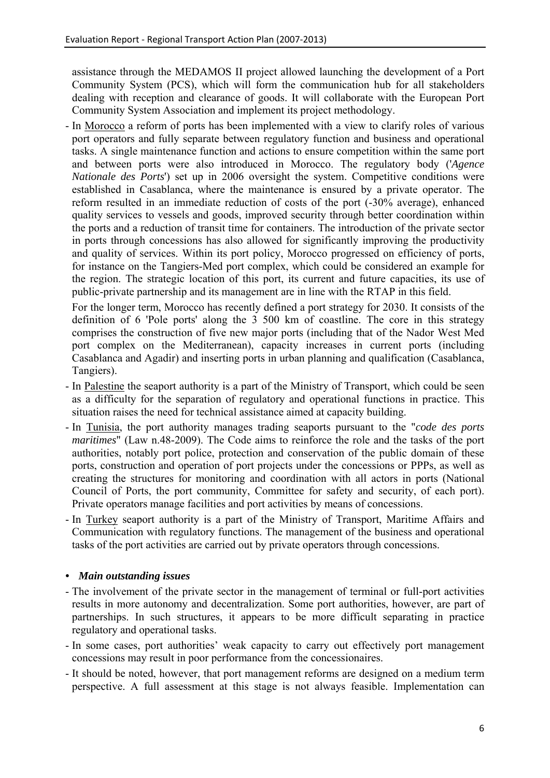assistance through the MEDAMOS II project allowed launching the development of a Port Community System (PCS), which will form the communication hub for all stakeholders dealing with reception and clearance of goods. It will collaborate with the European Port Community System Association and implement its project methodology.

- In Morocco a reform of ports has been implemented with a view to clarify roles of various port operators and fully separate between regulatory function and business and operational tasks. A single maintenance function and actions to ensure competition within the same port and between ports were also introduced in Morocco. The regulatory body ('*Agence Nationale des Ports*') set up in 2006 oversight the system. Competitive conditions were established in Casablanca, where the maintenance is ensured by a private operator. The reform resulted in an immediate reduction of costs of the port (-30% average), enhanced quality services to vessels and goods, improved security through better coordination within the ports and a reduction of transit time for containers. The introduction of the private sector in ports through concessions has also allowed for significantly improving the productivity and quality of services. Within its port policy, Morocco progressed on efficiency of ports, for instance on the Tangiers-Med port complex, which could be considered an example for the region. The strategic location of this port, its current and future capacities, its use of public-private partnership and its management are in line with the RTAP in this field.

For the longer term, Morocco has recently defined a port strategy for 2030. It consists of the definition of 6 'Pole ports' along the 3 500 km of coastline. The core in this strategy comprises the construction of five new major ports (including that of the Nador West Med port complex on the Mediterranean), capacity increases in current ports (including Casablanca and Agadir) and inserting ports in urban planning and qualification (Casablanca, Tangiers).

- In Palestine the seaport authority is a part of the Ministry of Transport, which could be seen as a difficulty for the separation of regulatory and operational functions in practice. This situation raises the need for technical assistance aimed at capacity building.
- In Tunisia, the port authority manages trading seaports pursuant to the "*code des ports maritimes*" (Law n.48-2009). The Code aims to reinforce the role and the tasks of the port authorities, notably port police, protection and conservation of the public domain of these ports, construction and operation of port projects under the concessions or PPPs, as well as creating the structures for monitoring and coordination with all actors in ports (National Council of Ports, the port community, Committee for safety and security, of each port). Private operators manage facilities and port activities by means of concessions.
- In Turkey seaport authority is a part of the Ministry of Transport, Maritime Affairs and Communication with regulatory functions. The management of the business and operational tasks of the port activities are carried out by private operators through concessions.

# *• Main outstanding issues*

- The involvement of the private sector in the management of terminal or full-port activities results in more autonomy and decentralization. Some port authorities, however, are part of partnerships. In such structures, it appears to be more difficult separating in practice regulatory and operational tasks.
- In some cases, port authorities' weak capacity to carry out effectively port management concessions may result in poor performance from the concessionaires.
- It should be noted, however, that port management reforms are designed on a medium term perspective. A full assessment at this stage is not always feasible. Implementation can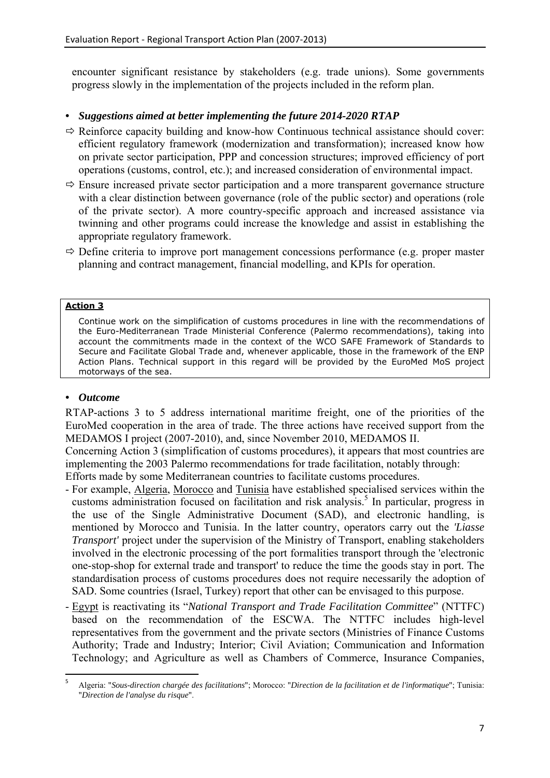encounter significant resistance by stakeholders (e.g. trade unions). Some governments progress slowly in the implementation of the projects included in the reform plan.

# *• Suggestions aimed at better implementing the future 2014-2020 RTAP*

- $\Rightarrow$  Reinforce capacity building and know-how Continuous technical assistance should cover: efficient regulatory framework (modernization and transformation); increased know how on private sector participation, PPP and concession structures; improved efficiency of port operations (customs, control, etc.); and increased consideration of environmental impact.
- $\Rightarrow$  Ensure increased private sector participation and a more transparent governance structure with a clear distinction between governance (role of the public sector) and operations (role of the private sector). A more country-specific approach and increased assistance via twinning and other programs could increase the knowledge and assist in establishing the appropriate regulatory framework.
- $\Rightarrow$  Define criteria to improve port management concessions performance (e.g. proper master planning and contract management, financial modelling, and KPIs for operation.

### **Action 3**

Continue work on the simplification of customs procedures in line with the recommendations of the Euro-Mediterranean Trade Ministerial Conference (Palermo recommendations), taking into account the commitments made in the context of the WCO SAFE Framework of Standards to Secure and Facilitate Global Trade and, whenever applicable, those in the framework of the ENP Action Plans. Technical support in this regard will be provided by the EuroMed MoS project motorways of the sea.

# *• Outcome*

1

RTAP-actions 3 to 5 address international maritime freight, one of the priorities of the EuroMed cooperation in the area of trade. The three actions have received support from the MEDAMOS I project (2007-2010), and, since November 2010, MEDAMOS II.

Concerning Action 3 (simplification of customs procedures), it appears that most countries are implementing the 2003 Palermo recommendations for trade facilitation, notably through:

Efforts made by some Mediterranean countries to facilitate customs procedures.

- For example, Algeria, Morocco and Tunisia have established specialised services within the customs administration focused on facilitation and risk analysis.<sup>5</sup> In particular, progress in the use of the Single Administrative Document (SAD), and electronic handling, is mentioned by Morocco and Tunisia. In the latter country, operators carry out the *'Liasse Transport'* project under the supervision of the Ministry of Transport, enabling stakeholders involved in the electronic processing of the port formalities transport through the 'electronic one-stop-shop for external trade and transport' to reduce the time the goods stay in port. The standardisation process of customs procedures does not require necessarily the adoption of SAD. Some countries (Israel, Turkey) report that other can be envisaged to this purpose.
- Egypt is reactivating its "*National Transport and Trade Facilitation Committee*" (NTTFC) based on the recommendation of the ESCWA. The NTTFC includes high-level representatives from the government and the private sectors (Ministries of Finance Customs Authority; Trade and Industry; Interior; Civil Aviation; Communication and Information Technology; and Agriculture as well as Chambers of Commerce, Insurance Companies,

<sup>5</sup> Algeria: "*Sous-direction chargée des facilitations*"; Morocco: "*Direction de la facilitation et de l'informatique*"; Tunisia: "*Direction de l'analyse du risque*".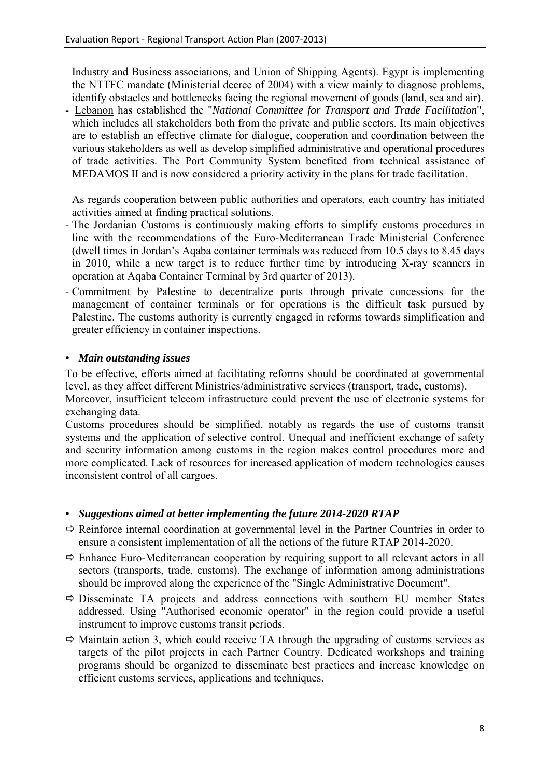Industry and Business associations, and Union of Shipping Agents). Egypt is implementing the NTTFC mandate (Ministerial decree of 2004) with a view mainly to diagnose problems, identify obstacles and bottlenecks facing the regional movement of goods (land, sea and air).

- Lebanon has established the "*National Committee for Transport and Trade Facilitation*", which includes all stakeholders both from the private and public sectors. Its main objectives are to establish an effective climate for dialogue, cooperation and coordination between the various stakeholders as well as develop simplified administrative and operational procedures of trade activities. The Port Community System benefited from technical assistance of MEDAMOS II and is now considered a priority activity in the plans for trade facilitation.

As regards cooperation between public authorities and operators, each country has initiated activities aimed at finding practical solutions.

- The Jordanian Customs is continuously making efforts to simplify customs procedures in line with the recommendations of the Euro-Mediterranean Trade Ministerial Conference (dwell times in Jordan's Aqaba container terminals was reduced from 10.5 days to 8.45 days in 2010, while a new target is to reduce further time by introducing X-ray scanners in operation at Aqaba Container Terminal by 3rd quarter of 2013).
- Commitment by Palestine to decentralize ports through private concessions for the management of container terminals or for operations is the difficult task pursued by Palestine. The customs authority is currently engaged in reforms towards simplification and greater efficiency in container inspections.

# *• Main outstanding issues*

To be effective, efforts aimed at facilitating reforms should be coordinated at governmental level, as they affect different Ministries/administrative services (transport, trade, customs).

Moreover, insufficient telecom infrastructure could prevent the use of electronic systems for exchanging data.

Customs procedures should be simplified, notably as regards the use of customs transit systems and the application of selective control. Unequal and inefficient exchange of safety and security information among customs in the region makes control procedures more and more complicated. Lack of resources for increased application of modern technologies causes inconsistent control of all cargoes.

- $\Rightarrow$  Reinforce internal coordination at governmental level in the Partner Countries in order to ensure a consistent implementation of all the actions of the future RTAP 2014-2020.
- $\Rightarrow$  Enhance Euro-Mediterranean cooperation by requiring support to all relevant actors in all sectors (transports, trade, customs). The exchange of information among administrations should be improved along the experience of the "Single Administrative Document".
- $\Rightarrow$  Disseminate TA projects and address connections with southern EU member States addressed. Using "Authorised economic operator" in the region could provide a useful instrument to improve customs transit periods.
- $\Rightarrow$  Maintain action 3, which could receive TA through the upgrading of customs services as targets of the pilot projects in each Partner Country. Dedicated workshops and training programs should be organized to disseminate best practices and increase knowledge on efficient customs services, applications and techniques.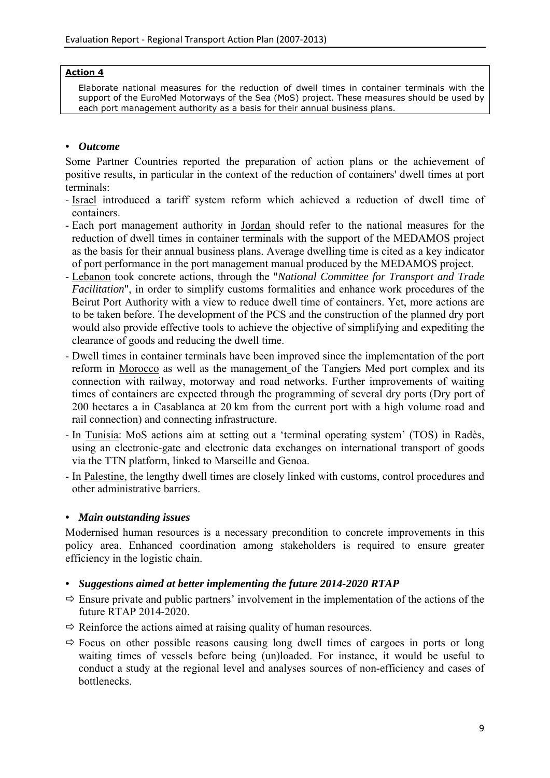#### **Action 4**

Elaborate national measures for the reduction of dwell times in container terminals with the support of the EuroMed Motorways of the Sea (MoS) project. These measures should be used by each port management authority as a basis for their annual business plans.

# *• Outcome*

Some Partner Countries reported the preparation of action plans or the achievement of positive results, in particular in the context of the reduction of containers' dwell times at port terminals:

- Israel introduced a tariff system reform which achieved a reduction of dwell time of containers.
- Each port management authority in Jordan should refer to the national measures for the reduction of dwell times in container terminals with the support of the MEDAMOS project as the basis for their annual business plans. Average dwelling time is cited as a key indicator of port performance in the port management manual produced by the MEDAMOS project.
- Lebanon took concrete actions, through the "*National Committee for Transport and Trade Facilitation*", in order to simplify customs formalities and enhance work procedures of the Beirut Port Authority with a view to reduce dwell time of containers. Yet, more actions are to be taken before. The development of the PCS and the construction of the planned dry port would also provide effective tools to achieve the objective of simplifying and expediting the clearance of goods and reducing the dwell time.
- Dwell times in container terminals have been improved since the implementation of the port reform in Morocco as well as the management of the Tangiers Med port complex and its connection with railway, motorway and road networks. Further improvements of waiting times of containers are expected through the programming of several dry ports (Dry port of 200 hectares a in Casablanca at 20 km from the current port with a high volume road and rail connection) and connecting infrastructure.
- In Tunisia: MoS actions aim at setting out a 'terminal operating system' (TOS) in Radès, using an electronic-gate and electronic data exchanges on international transport of goods via the TTN platform, linked to Marseille and Genoa.
- In Palestine, the lengthy dwell times are closely linked with customs, control procedures and other administrative barriers.

# *• Main outstanding issues*

Modernised human resources is a necessary precondition to concrete improvements in this policy area. Enhanced coordination among stakeholders is required to ensure greater efficiency in the logistic chain.

- $\Rightarrow$  Ensure private and public partners' involvement in the implementation of the actions of the future RTAP 2014-2020.
- $\Rightarrow$  Reinforce the actions aimed at raising quality of human resources.
- $\Rightarrow$  Focus on other possible reasons causing long dwell times of cargoes in ports or long waiting times of vessels before being (un)loaded. For instance, it would be useful to conduct a study at the regional level and analyses sources of non-efficiency and cases of bottlenecks.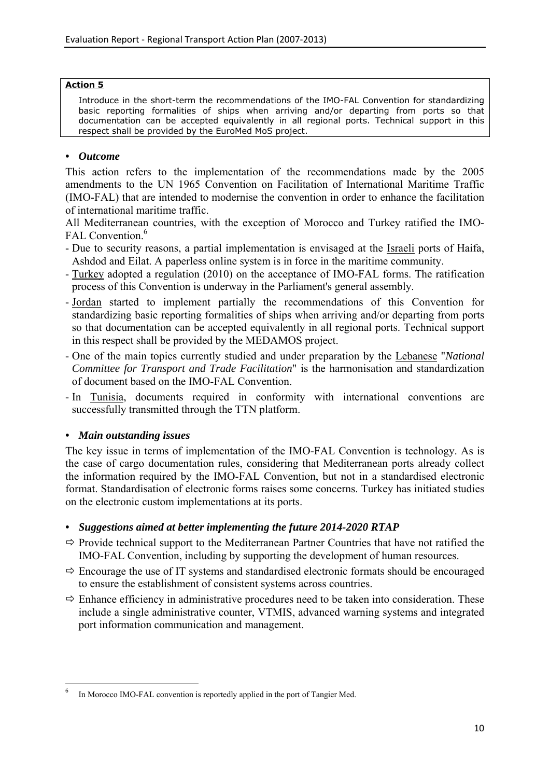#### **Action 5**

Introduce in the short-term the recommendations of the IMO-FAL Convention for standardizing basic reporting formalities of ships when arriving and/or departing from ports so that documentation can be accepted equivalently in all regional ports. Technical support in this respect shall be provided by the EuroMed MoS project.

### *• Outcome*

This action refers to the implementation of the recommendations made by the 2005 amendments to the UN 1965 Convention on Facilitation of International Maritime Traffic (IMO-FAL) that are intended to modernise the convention in order to enhance the facilitation of international maritime traffic.

All Mediterranean countries, with the exception of Morocco and Turkey ratified the IMO-FAL Convention.<sup>6</sup>

- Due to security reasons, a partial implementation is envisaged at the Israeli ports of Haifa, Ashdod and Eilat. A paperless online system is in force in the maritime community.
- Turkey adopted a regulation (2010) on the acceptance of IMO-FAL forms. The ratification process of this Convention is underway in the Parliament's general assembly.
- Jordan started to implement partially the recommendations of this Convention for standardizing basic reporting formalities of ships when arriving and/or departing from ports so that documentation can be accepted equivalently in all regional ports. Technical support in this respect shall be provided by the MEDAMOS project.
- One of the main topics currently studied and under preparation by the Lebanese "*National Committee for Transport and Trade Facilitation*" is the harmonisation and standardization of document based on the IMO-FAL Convention.
- In Tunisia, documents required in conformity with international conventions are successfully transmitted through the TTN platform.

#### *• Main outstanding issues*

**.** 

The key issue in terms of implementation of the IMO-FAL Convention is technology. As is the case of cargo documentation rules, considering that Mediterranean ports already collect the information required by the IMO-FAL Convention, but not in a standardised electronic format. Standardisation of electronic forms raises some concerns. Turkey has initiated studies on the electronic custom implementations at its ports.

- $\Rightarrow$  Provide technical support to the Mediterranean Partner Countries that have not ratified the IMO-FAL Convention, including by supporting the development of human resources.
- $\Rightarrow$  Encourage the use of IT systems and standardised electronic formats should be encouraged to ensure the establishment of consistent systems across countries.
- $\Rightarrow$  Enhance efficiency in administrative procedures need to be taken into consideration. These include a single administrative counter, VTMIS, advanced warning systems and integrated port information communication and management.

<sup>6</sup> In Morocco IMO-FAL convention is reportedly applied in the port of Tangier Med.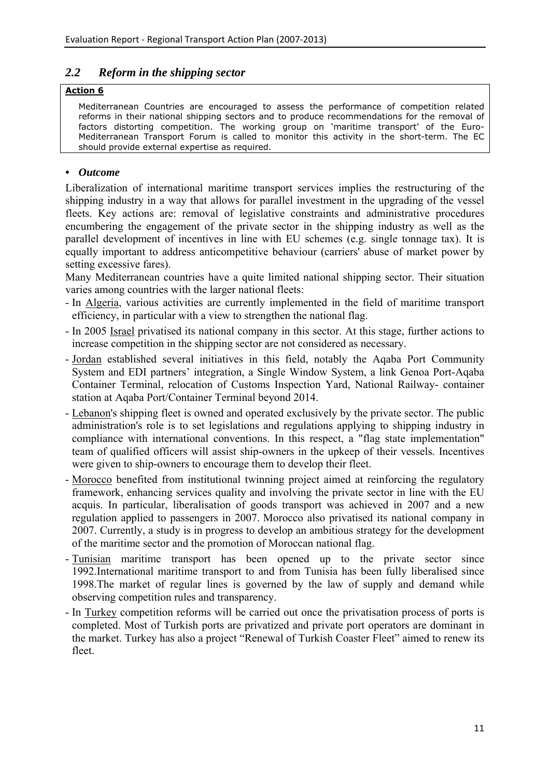# <span id="page-11-0"></span>*2.2 Reform in the shipping sector*

### **Action 6**

Mediterranean Countries are encouraged to assess the performance of competition related reforms in their national shipping sectors and to produce recommendations for the removal of factors distorting competition. The working group on 'maritime transport' of the Euro-Mediterranean Transport Forum is called to monitor this activity in the short-term. The EC should provide external expertise as required.

# *• Outcome*

Liberalization of international maritime transport services implies the restructuring of the shipping industry in a way that allows for parallel investment in the upgrading of the vessel fleets. Key actions are: removal of legislative constraints and administrative procedures encumbering the engagement of the private sector in the shipping industry as well as the parallel development of incentives in line with EU schemes (e.g. single tonnage tax). It is equally important to address anticompetitive behaviour (carriers' abuse of market power by setting excessive fares).

Many Mediterranean countries have a quite limited national shipping sector. Their situation varies among countries with the larger national fleets:

- In Algeria, various activities are currently implemented in the field of maritime transport efficiency, in particular with a view to strengthen the national flag.
- In 2005 Israel privatised its national company in this sector. At this stage, further actions to increase competition in the shipping sector are not considered as necessary.
- Jordan established several initiatives in this field, notably the Aqaba Port Community System and EDI partners' integration, a Single Window System, a link Genoa Port-Aqaba Container Terminal, relocation of Customs Inspection Yard, National Railway- container station at Aqaba Port/Container Terminal beyond 2014.
- Lebanon's shipping fleet is owned and operated exclusively by the private sector. The public administration's role is to set legislations and regulations applying to shipping industry in compliance with international conventions. In this respect, a "flag state implementation" team of qualified officers will assist ship-owners in the upkeep of their vessels. Incentives were given to ship-owners to encourage them to develop their fleet.
- Morocco benefited from institutional twinning project aimed at reinforcing the regulatory framework, enhancing services quality and involving the private sector in line with the EU acquis. In particular, liberalisation of goods transport was achieved in 2007 and a new regulation applied to passengers in 2007. Morocco also privatised its national company in 2007. Currently, a study is in progress to develop an ambitious strategy for the development of the maritime sector and the promotion of Moroccan national flag.
- Tunisian maritime transport has been opened up to the private sector since 1992.International maritime transport to and from Tunisia has been fully liberalised since 1998.The market of regular lines is governed by the law of supply and demand while observing competition rules and transparency.
- In Turkey competition reforms will be carried out once the privatisation process of ports is completed. Most of Turkish ports are privatized and private port operators are dominant in the market. Turkey has also a project "Renewal of Turkish Coaster Fleet" aimed to renew its fleet.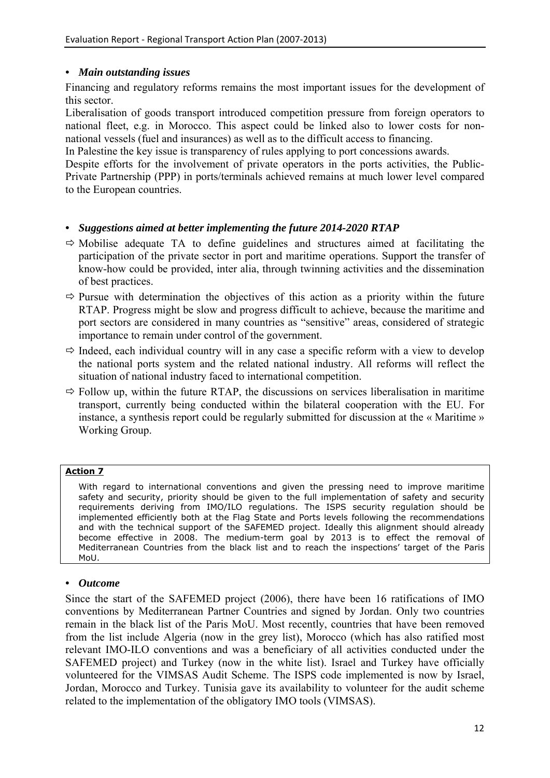### *• Main outstanding issues*

Financing and regulatory reforms remains the most important issues for the development of this sector.

Liberalisation of goods transport introduced competition pressure from foreign operators to national fleet, e.g. in Morocco. This aspect could be linked also to lower costs for nonnational vessels (fuel and insurances) as well as to the difficult access to financing.

In Palestine the key issue is transparency of rules applying to port concessions awards.

Despite efforts for the involvement of private operators in the ports activities, the Public-Private Partnership (PPP) in ports/terminals achieved remains at much lower level compared to the European countries.

# *• Suggestions aimed at better implementing the future 2014-2020 RTAP*

- $\Rightarrow$  Mobilise adequate TA to define guidelines and structures aimed at facilitating the participation of the private sector in port and maritime operations. Support the transfer of know-how could be provided, inter alia, through twinning activities and the dissemination of best practices.
- $\Rightarrow$  Pursue with determination the objectives of this action as a priority within the future RTAP. Progress might be slow and progress difficult to achieve, because the maritime and port sectors are considered in many countries as "sensitive" areas, considered of strategic importance to remain under control of the government.
- $\Rightarrow$  Indeed, each individual country will in any case a specific reform with a view to develop the national ports system and the related national industry. All reforms will reflect the situation of national industry faced to international competition.
- $\Rightarrow$  Follow up, within the future RTAP, the discussions on services liberalisation in maritime transport, currently being conducted within the bilateral cooperation with the EU. For instance, a synthesis report could be regularly submitted for discussion at the « Maritime » Working Group.

#### **Action 7**

With regard to international conventions and given the pressing need to improve maritime safety and security, priority should be given to the full implementation of safety and security requirements deriving from IMO/ILO regulations. The ISPS security regulation should be implemented efficiently both at the Flag State and Ports levels following the recommendations and with the technical support of the SAFEMED project. Ideally this alignment should already become effective in 2008. The medium-term goal by 2013 is to effect the removal of Mediterranean Countries from the black list and to reach the inspections' target of the Paris MoU.

#### *• Outcome*

Since the start of the SAFEMED project (2006), there have been 16 ratifications of IMO conventions by Mediterranean Partner Countries and signed by Jordan. Only two countries remain in the black list of the Paris MoU. Most recently, countries that have been removed from the list include Algeria (now in the grey list), Morocco (which has also ratified most relevant IMO-ILO conventions and was a beneficiary of all activities conducted under the SAFEMED project) and Turkey (now in the white list). Israel and Turkey have officially volunteered for the VIMSAS Audit Scheme. The ISPS code implemented is now by Israel, Jordan, Morocco and Turkey. Tunisia gave its availability to volunteer for the audit scheme related to the implementation of the obligatory IMO tools (VIMSAS).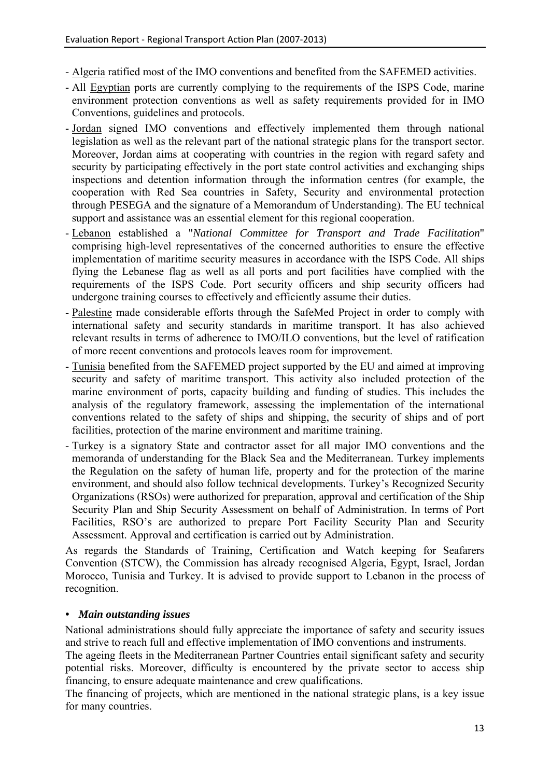- Algeria ratified most of the IMO conventions and benefited from the SAFEMED activities.
- All Egyptian ports are currently complying to the requirements of the ISPS Code, marine environment protection conventions as well as safety requirements provided for in IMO Conventions, guidelines and protocols.
- Jordan signed IMO conventions and effectively implemented them through national legislation as well as the relevant part of the national strategic plans for the transport sector. Moreover, Jordan aims at cooperating with countries in the region with regard safety and security by participating effectively in the port state control activities and exchanging ships inspections and detention information through the information centres (for example, the cooperation with Red Sea countries in Safety, Security and environmental protection through PESEGA and the signature of a Memorandum of Understanding). The EU technical support and assistance was an essential element for this regional cooperation.
- Lebanon established a "*National Committee for Transport and Trade Facilitation*" comprising high-level representatives of the concerned authorities to ensure the effective implementation of maritime security measures in accordance with the ISPS Code. All ships flying the Lebanese flag as well as all ports and port facilities have complied with the requirements of the ISPS Code. Port security officers and ship security officers had undergone training courses to effectively and efficiently assume their duties.
- Palestine made considerable efforts through the SafeMed Project in order to comply with international safety and security standards in maritime transport. It has also achieved relevant results in terms of adherence to IMO/ILO conventions, but the level of ratification of more recent conventions and protocols leaves room for improvement.
- Tunisia benefited from the SAFEMED project supported by the EU and aimed at improving security and safety of maritime transport. This activity also included protection of the marine environment of ports, capacity building and funding of studies. This includes the analysis of the regulatory framework, assessing the implementation of the international conventions related to the safety of ships and shipping, the security of ships and of port facilities, protection of the marine environment and maritime training.
- Turkey is a signatory State and contractor asset for all major IMO conventions and the memoranda of understanding for the Black Sea and the Mediterranean. Turkey implements the Regulation on the safety of human life, property and for the protection of the marine environment, and should also follow technical developments. Turkey's Recognized Security Organizations (RSOs) were authorized for preparation, approval and certification of the Ship Security Plan and Ship Security Assessment on behalf of Administration. In terms of Port Facilities, RSO's are authorized to prepare Port Facility Security Plan and Security Assessment. Approval and certification is carried out by Administration.

As regards the Standards of Training, Certification and Watch keeping for Seafarers Convention (STCW), the Commission has already recognised Algeria, Egypt, Israel, Jordan Morocco, Tunisia and Turkey. It is advised to provide support to Lebanon in the process of recognition.

# *• Main outstanding issues*

National administrations should fully appreciate the importance of safety and security issues and strive to reach full and effective implementation of IMO conventions and instruments.

The ageing fleets in the Mediterranean Partner Countries entail significant safety and security potential risks. Moreover, difficulty is encountered by the private sector to access ship financing, to ensure adequate maintenance and crew qualifications.

The financing of projects, which are mentioned in the national strategic plans, is a key issue for many countries.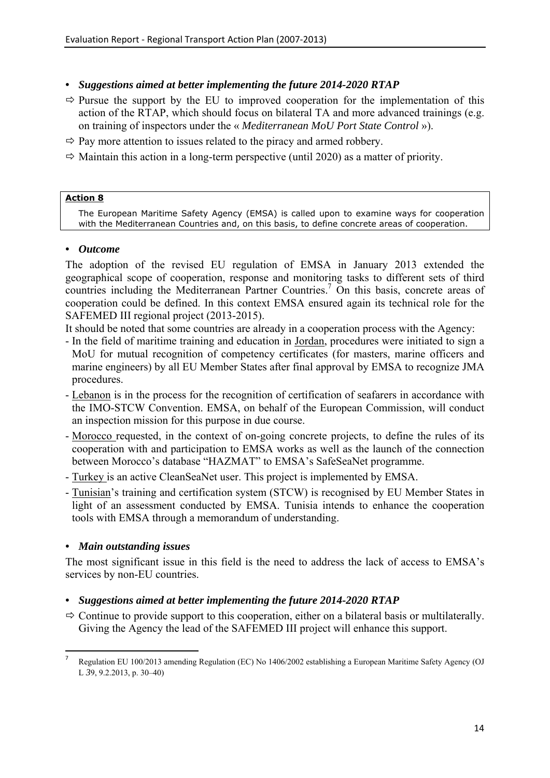# *• Suggestions aimed at better implementing the future 2014-2020 RTAP*

- $\Rightarrow$  Pursue the support by the EU to improved cooperation for the implementation of this action of the RTAP, which should focus on bilateral TA and more advanced trainings (e.g. on training of inspectors under the « *Mediterranean MoU Port State Control* »).
- $\Rightarrow$  Pay more attention to issues related to the piracy and armed robbery.
- $\Rightarrow$  Maintain this action in a long-term perspective (until 2020) as a matter of priority.

### **Action 8**

The European Maritime Safety Agency (EMSA) is called upon to examine ways for cooperation with the Mediterranean Countries and, on this basis, to define concrete areas of cooperation.

# *• Outcome*

The adoption of the revised EU regulation of EMSA in January 2013 extended the geographical scope of cooperation, response and monitoring tasks to different sets of third countries including the Mediterranean Partner Countries.<sup>7</sup> On this basis, concrete areas of cooperation could be defined. In this context EMSA ensured again its technical role for the SAFEMED III regional project (2013-2015).

It should be noted that some countries are already in a cooperation process with the Agency:

- In the field of maritime training and education in Jordan, procedures were initiated to sign a MoU for mutual recognition of competency certificates (for masters, marine officers and marine engineers) by all EU Member States after final approval by EMSA to recognize JMA procedures.
- Lebanon is in the process for the recognition of certification of seafarers in accordance with the IMO-STCW Convention. EMSA, on behalf of the European Commission, will conduct an inspection mission for this purpose in due course.
- Morocco requested, in the context of on-going concrete projects, to define the rules of its cooperation with and participation to EMSA works as well as the launch of the connection between Morocco's database "HAZMAT" to EMSA's SafeSeaNet programme.
- Turkey is an active CleanSeaNet user. This project is implemented by EMSA.
- Tunisian's training and certification system (STCW) is recognised by EU Member States in light of an assessment conducted by EMSA. Tunisia intends to enhance the cooperation tools with EMSA through a memorandum of understanding.

# *• Main outstanding issues*

1

The most significant issue in this field is the need to address the lack of access to EMSA's services by non-EU countries.

# *• Suggestions aimed at better implementing the future 2014-2020 RTAP*

 $\Rightarrow$  Continue to provide support to this cooperation, either on a bilateral basis or multilaterally. Giving the Agency the lead of the SAFEMED III project will enhance this support.

<sup>7</sup> Regulation EU 100/2013 amending Regulation (EC) No 1406/2002 establishing a European Maritime Safety Agency (OJ L *3*9, 9.2.2013, p. 30–40)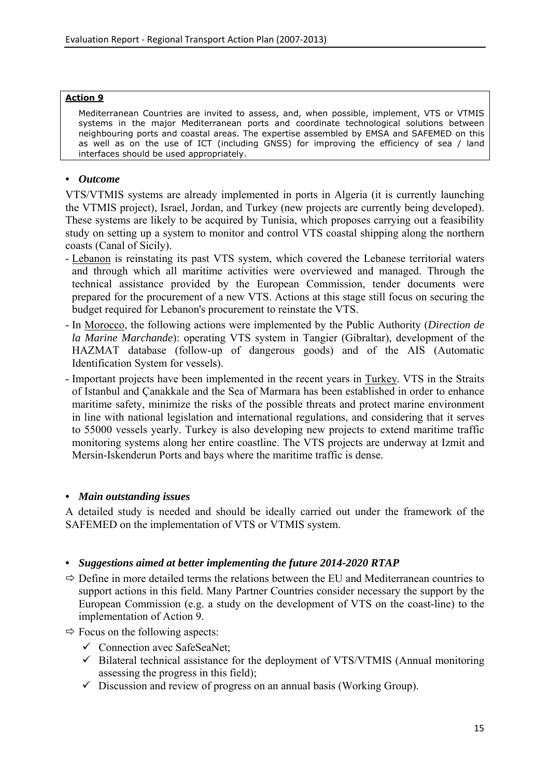#### **Action 9**

Mediterranean Countries are invited to assess, and, when possible, implement, VTS or VTMIS systems in the major Mediterranean ports and coordinate technological solutions between neighbouring ports and coastal areas. The expertise assembled by EMSA and SAFEMED on this as well as on the use of ICT (including GNSS) for improving the efficiency of sea / land interfaces should be used appropriately.

# *• Outcome*

VTS/VTMIS systems are already implemented in ports in Algeria (it is currently launching the VTMIS project), Israel, Jordan, and Turkey (new projects are currently being developed). These systems are likely to be acquired by Tunisia, which proposes carrying out a feasibility study on setting up a system to monitor and control VTS coastal shipping along the northern coasts (Canal of Sicily).

- Lebanon is reinstating its past VTS system, which covered the Lebanese territorial waters and through which all maritime activities were overviewed and managed. Through the technical assistance provided by the European Commission, tender documents were prepared for the procurement of a new VTS. Actions at this stage still focus on securing the budget required for Lebanon's procurement to reinstate the VTS.
- In Morocco, the following actions were implemented by the Public Authority (*Direction de la Marine Marchande*): operating VTS system in Tangier (Gibraltar), development of the HAZMAT database (follow-up of dangerous goods) and of the AIS (Automatic Identification System for vessels).
- Important projects have been implemented in the recent years in Turkey. VTS in the Straits of Istanbul and Çanakkale and the Sea of Marmara has been established in order to enhance maritime safety, minimize the risks of the possible threats and protect marine environment in line with national legislation and international regulations, and considering that it serves to 55000 vessels yearly. Turkey is also developing new projects to extend maritime traffic monitoring systems along her entire coastline. The VTS projects are underway at Izmit and Mersin-Iskenderun Ports and bays where the maritime traffic is dense.

# *• Main outstanding issues*

A detailed study is needed and should be ideally carried out under the framework of the SAFEMED on the implementation of VTS or VTMIS system.

- $\Rightarrow$  Define in more detailed terms the relations between the EU and Mediterranean countries to support actions in this field. Many Partner Countries consider necessary the support by the European Commission (e.g. a study on the development of VTS on the coast-line) to the implementation of Action 9.
- $\Rightarrow$  Focus on the following aspects:
	- $\checkmark$  Connection avec SafeSeaNet;
	- $\checkmark$  Bilateral technical assistance for the deployment of VTS/VTMIS (Annual monitoring assessing the progress in this field);
	- $\checkmark$  Discussion and review of progress on an annual basis (Working Group).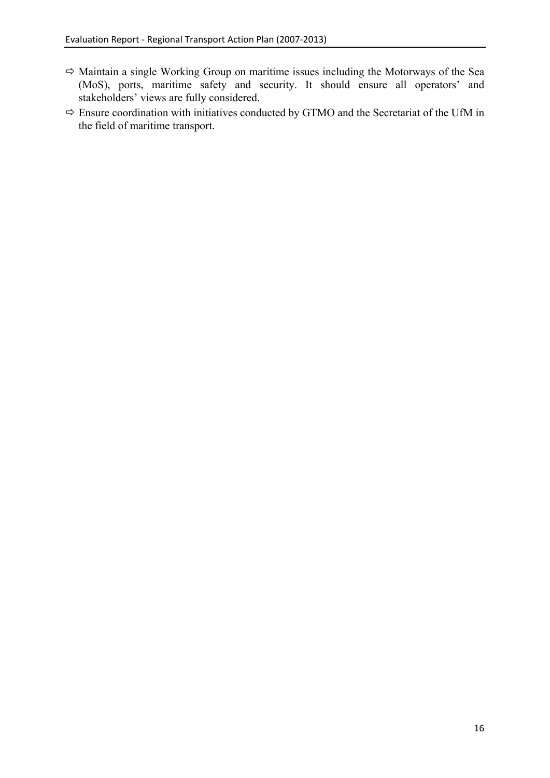- $\Rightarrow$  Maintain a single Working Group on maritime issues including the Motorways of the Sea (MoS), ports, maritime safety and security. It should ensure all operators' and stakeholders' views are fully considered.
- $\Rightarrow$  Ensure coordination with initiatives conducted by GTMO and the Secretariat of the UfM in the field of maritime transport.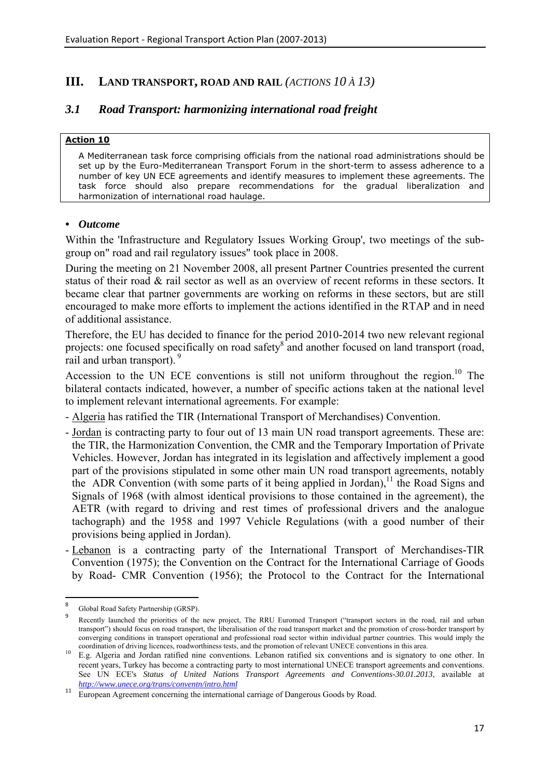# <span id="page-17-0"></span>**III. LAND TRANSPORT, ROAD AND RAIL** *(ACTIONS 10 À 13)*

# <span id="page-17-1"></span>*3.1 Road Transport: harmonizing international road freight*

#### **Action 10**

A Mediterranean task force comprising officials from the national road administrations should be set up by the Euro-Mediterranean Transport Forum in the short-term to assess adherence to a number of key UN ECE agreements and identify measures to implement these agreements. The task force should also prepare recommendations for the gradual liberalization and harmonization of international road haulage.

#### *• Outcome*

Within the 'Infrastructure and Regulatory Issues Working Group', two meetings of the subgroup on" road and rail regulatory issues" took place in 2008.

During the meeting on 21 November 2008, all present Partner Countries presented the current status of their road & rail sector as well as an overview of recent reforms in these sectors. It became clear that partner governments are working on reforms in these sectors, but are still encouraged to make more efforts to implement the actions identified in the RTAP and in need of additional assistance.

Therefore, the EU has decided to finance for the period 2010-2014 two new relevant regional projects: one focused specifically on road safety<sup>8</sup> and another focused on land transport (road, rail and urban transport).<sup>9</sup>

Accession to the UN ECE conventions is still not uniform throughout the region.<sup>10</sup> The bilateral contacts indicated, however, a number of specific actions taken at the national level to implement relevant international agreements. For example:

- Algeria has ratified the TIR (International Transport of Merchandises) Convention.

- Jordan is contracting party to four out of 13 main UN road transport agreements. These are: the TIR, the Harmonization Convention, the CMR and the Temporary Importation of Private Vehicles. However, Jordan has integrated in its legislation and affectively implement a good part of the provisions stipulated in some other main UN road transport agreements, notably the ADR Convention (with some parts of it being applied in Jordan),<sup>11</sup> the Road Signs and Signals of 1968 (with almost identical provisions to those contained in the agreement), the AETR (with regard to driving and rest times of professional drivers and the analogue tachograph) and the 1958 and 1997 Vehicle Regulations (with a good number of their provisions being applied in Jordan).
- Lebanon is a contracting party of the International Transport of Merchandises-TIR Convention (1975); the Convention on the Contract for the International Carriage of Goods by Road- CMR Convention (1956); the Protocol to the Contract for the International

<sup>-&</sup>lt;br>8 Global Road Safety Partnership (GRSP).

Recently launched the priorities of the new project, The RRU Euromed Transport ("transport sectors in the road, rail and urban transport") should focus on road transport, the liberalisation of the road transport market and the promotion of cross-border transport by converging conditions in transport operational and professional road sector within individual partner countries. This would imply the coordination of driving licences, roadworthiness tests, and the promotion of relevant UN

<sup>&</sup>lt;sup>10</sup> E.g. Algeria and Jordan ratified nine conventions. Lebanon ratified six conventions and is signatory to one other. In recent years, Turkey has become a contracting party to most international UNECE transport agreements and conventions. See UN ECE's *Status of United Nations Transport Agreements and Conventions-30.01.2013*, available at *<http://www.unece.org/trans/conventn/intro.html>*

<sup>&</sup>lt;sup>11</sup> European Agreement concerning the international carriage of Dangerous Goods by Road.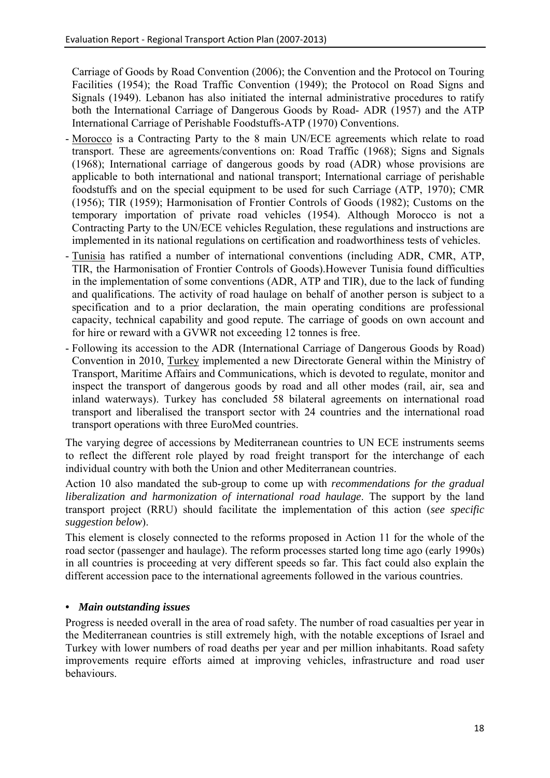Carriage of Goods by Road Convention (2006); the Convention and the Protocol on Touring Facilities (1954); the Road Traffic Convention (1949); the Protocol on Road Signs and Signals (1949). Lebanon has also initiated the internal administrative procedures to ratify both the International Carriage of Dangerous Goods by Road- ADR (1957) and the ATP International Carriage of Perishable Foodstuffs-ATP (1970) Conventions.

- Morocco is a Contracting Party to the 8 main UN/ECE agreements which relate to road transport. These are agreements/conventions on: Road Traffic (1968); Signs and Signals (1968); International carriage of dangerous goods by road (ADR) whose provisions are applicable to both international and national transport; International carriage of perishable foodstuffs and on the special equipment to be used for such Carriage (ATP, 1970); CMR (1956); TIR (1959); Harmonisation of Frontier Controls of Goods (1982); Customs on the temporary importation of private road vehicles (1954). Although Morocco is not a Contracting Party to the UN/ECE vehicles Regulation, these regulations and instructions are implemented in its national regulations on certification and roadworthiness tests of vehicles.
- Tunisia has ratified a number of international conventions (including ADR, CMR, ATP, TIR, the Harmonisation of Frontier Controls of Goods).However Tunisia found difficulties in the implementation of some conventions (ADR, ATP and TIR), due to the lack of funding and qualifications. The activity of road haulage on behalf of another person is subject to a specification and to a prior declaration, the main operating conditions are professional capacity, technical capability and good repute. The carriage of goods on own account and for hire or reward with a GVWR not exceeding 12 tonnes is free.
- Following its accession to the ADR (International Carriage of Dangerous Goods by Road) Convention in 2010, Turkey implemented a new Directorate General within the Ministry of Transport, Maritime Affairs and Communications, which is devoted to regulate, monitor and inspect the transport of dangerous goods by road and all other modes (rail, air, sea and inland waterways). Turkey has concluded 58 bilateral agreements on international road transport and liberalised the transport sector with 24 countries and the international road transport operations with three EuroMed countries.

The varying degree of accessions by Mediterranean countries to UN ECE instruments seems to reflect the different role played by road freight transport for the interchange of each individual country with both the Union and other Mediterranean countries.

Action 10 also mandated the sub-group to come up with *recommendations for the gradual liberalization and harmonization of international road haulage*. The support by the land transport project (RRU) should facilitate the implementation of this action (*see specific suggestion below*).

This element is closely connected to the reforms proposed in Action 11 for the whole of the road sector (passenger and haulage). The reform processes started long time ago (early 1990s) in all countries is proceeding at very different speeds so far. This fact could also explain the different accession pace to the international agreements followed in the various countries.

# *• Main outstanding issues*

Progress is needed overall in the area of road safety. The number of road casualties per year in the Mediterranean countries is still extremely high, with the notable exceptions of Israel and Turkey with lower numbers of road deaths per year and per million inhabitants. Road safety improvements require efforts aimed at improving vehicles, infrastructure and road user behaviours.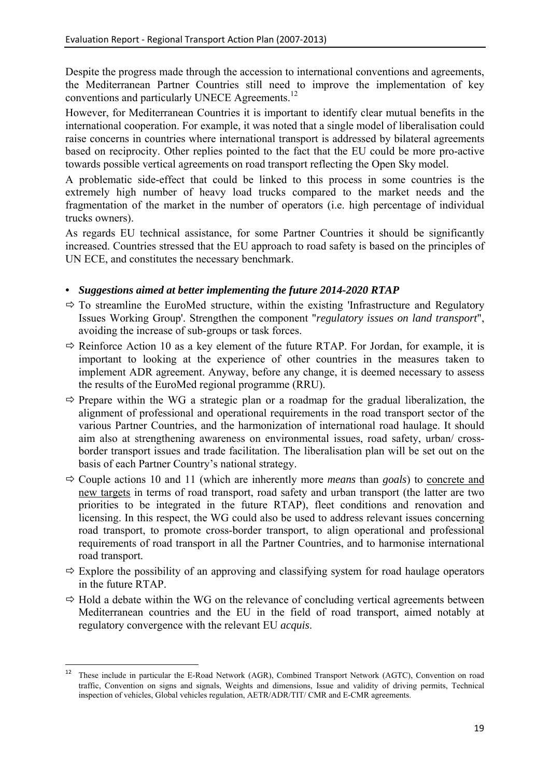Despite the progress made through the accession to international conventions and agreements, the Mediterranean Partner Countries still need to improve the implementation of key conventions and particularly UNECE Agreements.<sup>12</sup>

However, for Mediterranean Countries it is important to identify clear mutual benefits in the international cooperation. For example, it was noted that a single model of liberalisation could raise concerns in countries where international transport is addressed by bilateral agreements based on reciprocity. Other replies pointed to the fact that the EU could be more pro-active towards possible vertical agreements on road transport reflecting the Open Sky model.

A problematic side-effect that could be linked to this process in some countries is the extremely high number of heavy load trucks compared to the market needs and the fragmentation of the market in the number of operators (i.e. high percentage of individual trucks owners).

As regards EU technical assistance, for some Partner Countries it should be significantly increased. Countries stressed that the EU approach to road safety is based on the principles of UN ECE, and constitutes the necessary benchmark.

- $\Rightarrow$  To streamline the EuroMed structure, within the existing 'Infrastructure and Regulatory Issues Working Group'. Strengthen the component "*regulatory issues on land transport*", avoiding the increase of sub-groups or task forces.
- $\Rightarrow$  Reinforce Action 10 as a key element of the future RTAP. For Jordan, for example, it is important to looking at the experience of other countries in the measures taken to implement ADR agreement. Anyway, before any change, it is deemed necessary to assess the results of the EuroMed regional programme (RRU).
- $\Rightarrow$  Prepare within the WG a strategic plan or a roadmap for the gradual liberalization, the alignment of professional and operational requirements in the road transport sector of the various Partner Countries, and the harmonization of international road haulage. It should aim also at strengthening awareness on environmental issues, road safety, urban/ crossborder transport issues and trade facilitation. The liberalisation plan will be set out on the basis of each Partner Country's national strategy.
- $\Rightarrow$  Couple actions 10 and 11 (which are inherently more *means* than *goals*) to concrete and new targets in terms of road transport, road safety and urban transport (the latter are two priorities to be integrated in the future RTAP), fleet conditions and renovation and licensing. In this respect, the WG could also be used to address relevant issues concerning road transport, to promote cross-border transport, to align operational and professional requirements of road transport in all the Partner Countries, and to harmonise international road transport.
- $\Rightarrow$  Explore the possibility of an approving and classifying system for road haulage operators in the future RTAP.
- $\Rightarrow$  Hold a debate within the WG on the relevance of concluding vertical agreements between Mediterranean countries and the EU in the field of road transport, aimed notably at regulatory convergence with the relevant EU *acquis*.

 $12\,$ 12 These include in particular the E-Road Network (AGR), Combined Transport Network (AGTC), Convention on road traffic, Convention on signs and signals, Weights and dimensions, Issue and validity of driving permits, Technical inspection of vehicles, Global vehicles regulation, AETR/ADR/TIT/ CMR and E-CMR agreements.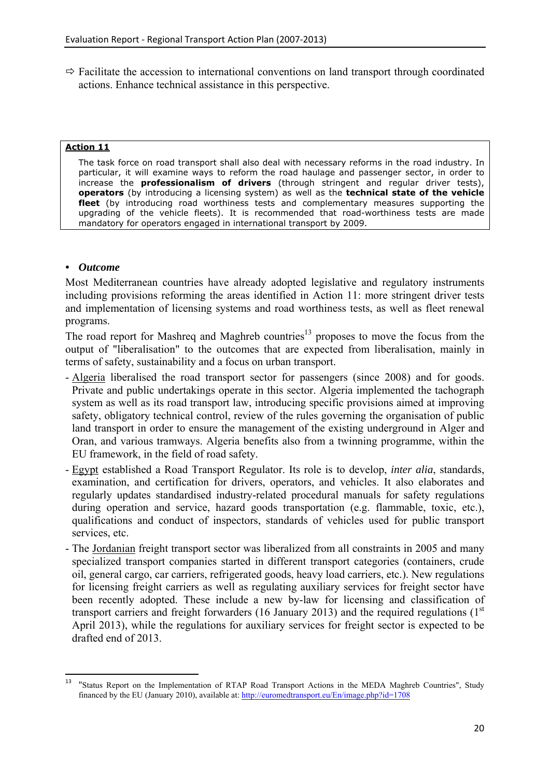$\Rightarrow$  Facilitate the accession to international conventions on land transport through coordinated actions. Enhance technical assistance in this perspective.

#### **Action 11**

The task force on road transport shall also deal with necessary reforms in the road industry. In particular, it will examine ways to reform the road haulage and passenger sector, in order to increase the **professionalism of drivers** (through stringent and regular driver tests), **operators** (by introducing a licensing system) as well as the **technical state of the vehicle fleet** (by introducing road worthiness tests and complementary measures supporting the upgrading of the vehicle fleets). It is recommended that road-worthiness tests are made mandatory for operators engaged in international transport by 2009.

### *• Outcome*

Most Mediterranean countries have already adopted legislative and regulatory instruments including provisions reforming the areas identified in Action 11: more stringent driver tests and implementation of licensing systems and road worthiness tests, as well as fleet renewal programs.

The road report for Mashreq and Maghreb countries<sup>13</sup> proposes to move the focus from the output of "liberalisation" to the outcomes that are expected from liberalisation, mainly in terms of safety, sustainability and a focus on urban transport.

- Algeria liberalised the road transport sector for passengers (since 2008) and for goods. Private and public undertakings operate in this sector. Algeria implemented the tachograph system as well as its road transport law, introducing specific provisions aimed at improving safety, obligatory technical control, review of the rules governing the organisation of public land transport in order to ensure the management of the existing underground in Alger and Oran, and various tramways. Algeria benefits also from a twinning programme, within the EU framework, in the field of road safety.
- Egypt established a Road Transport Regulator. Its role is to develop, *inter alia*, standards, examination, and certification for drivers, operators, and vehicles. It also elaborates and regularly updates standardised industry-related procedural manuals for safety regulations during operation and service, hazard goods transportation (e.g. flammable, toxic, etc.), qualifications and conduct of inspectors, standards of vehicles used for public transport services, etc.
- The Jordanian freight transport sector was liberalized from all constraints in 2005 and many specialized transport companies started in different transport categories (containers, crude oil, general cargo, car carriers, refrigerated goods, heavy load carriers, etc.). New regulations for licensing freight carriers as well as regulating auxiliary services for freight sector have been recently adopted. These include a new by-law for licensing and classification of transport carriers and freight forwarders (16 January 2013) and the required regulations ( $1<sup>st</sup>$ April 2013), while the regulations for auxiliary services for freight sector is expected to be drafted end of 2013.

 $13$ 13 "Status Report on the Implementation of RTAP Road Transport Actions in the MEDA Maghreb Countries", Study financed by the EU (January 2010), available at: http://euromedtransport.eu/En/image.php?id=1708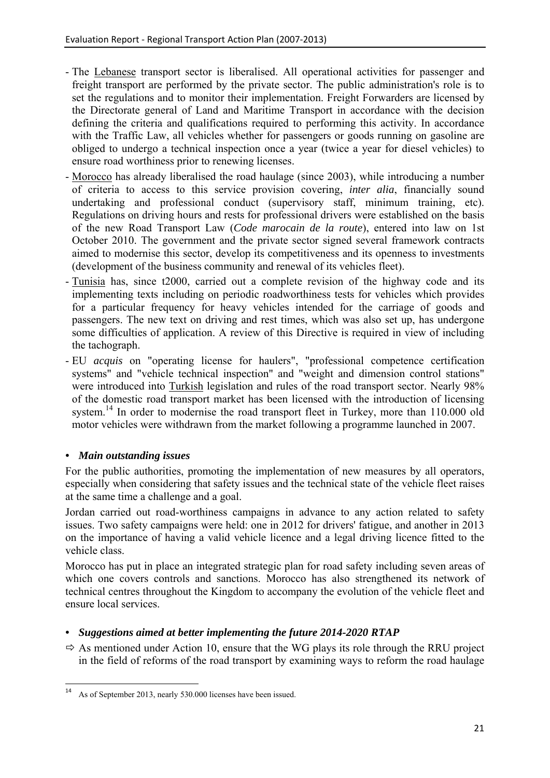- The Lebanese transport sector is liberalised. All operational activities for passenger and freight transport are performed by the private sector. The public administration's role is to set the regulations and to monitor their implementation. Freight Forwarders are licensed by the Directorate general of Land and Maritime Transport in accordance with the decision defining the criteria and qualifications required to performing this activity. In accordance with the Traffic Law, all vehicles whether for passengers or goods running on gasoline are obliged to undergo a technical inspection once a year (twice a year for diesel vehicles) to ensure road worthiness prior to renewing licenses.
- Morocco has already liberalised the road haulage (since 2003), while introducing a number of criteria to access to this service provision covering, *inter alia*, financially sound undertaking and professional conduct (supervisory staff, minimum training, etc). Regulations on driving hours and rests for professional drivers were established on the basis of the new Road Transport Law (*Code marocain de la route*), entered into law on 1st October 2010. The government and the private sector signed several framework contracts aimed to modernise this sector, develop its competitiveness and its openness to investments (development of the business community and renewal of its vehicles fleet).
- Tunisia has, since t2000, carried out a complete revision of the highway code and its implementing texts including on periodic roadworthiness tests for vehicles which provides for a particular frequency for heavy vehicles intended for the carriage of goods and passengers. The new text on driving and rest times, which was also set up, has undergone some difficulties of application. A review of this Directive is required in view of including the tachograph.
- EU *acquis* on "operating license for haulers", "professional competence certification systems" and "vehicle technical inspection" and "weight and dimension control stations" were introduced into Turkish legislation and rules of the road transport sector. Nearly 98% of the domestic road transport market has been licensed with the introduction of licensing system.<sup>14</sup> In order to modernise the road transport fleet in Turkey, more than 110.000 old motor vehicles were withdrawn from the market following a programme launched in 2007.

# *• Main outstanding issues*

**.** 

For the public authorities, promoting the implementation of new measures by all operators, especially when considering that safety issues and the technical state of the vehicle fleet raises at the same time a challenge and a goal.

Jordan carried out road-worthiness campaigns in advance to any action related to safety issues. Two safety campaigns were held: one in 2012 for drivers' fatigue, and another in 2013 on the importance of having a valid vehicle licence and a legal driving licence fitted to the vehicle class.

Morocco has put in place an integrated strategic plan for road safety including seven areas of which one covers controls and sanctions. Morocco has also strengthened its network of technical centres throughout the Kingdom to accompany the evolution of the vehicle fleet and ensure local services.

# *• Suggestions aimed at better implementing the future 2014-2020 RTAP*

 $\Rightarrow$  As mentioned under Action 10, ensure that the WG plays its role through the RRU project in the field of reforms of the road transport by examining ways to reform the road haulage

As of September 2013, nearly 530.000 licenses have been issued.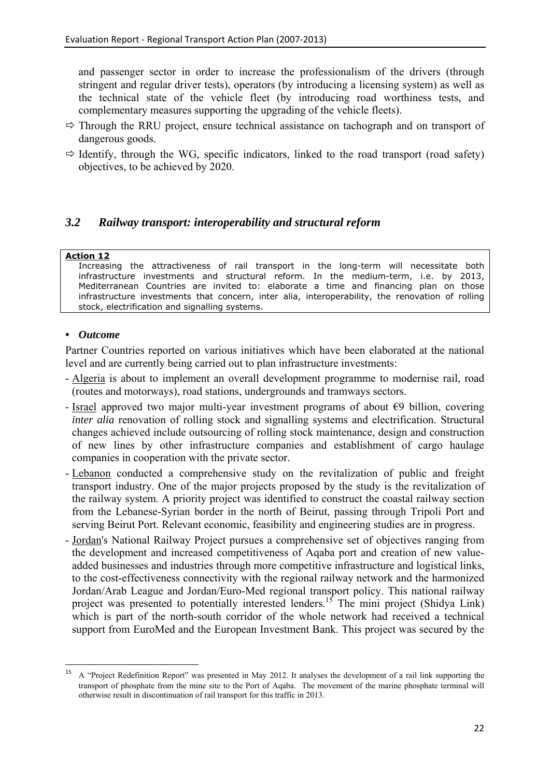and passenger sector in order to increase the professionalism of the drivers (through stringent and regular driver tests), operators (by introducing a licensing system) as well as the technical state of the vehicle fleet (by introducing road worthiness tests, and complementary measures supporting the upgrading of the vehicle fleets).

- $\Rightarrow$  Through the RRU project, ensure technical assistance on tachograph and on transport of dangerous goods.
- $\Rightarrow$  Identify, through the WG, specific indicators, linked to the road transport (road safety) objectives, to be achieved by 2020.

# <span id="page-22-0"></span>*3.2 Railway transport: interoperability and structural reform*

# **Action 12**

Increasing the attractiveness of rail transport in the long-term will necessitate both infrastructure investments and structural reform. In the medium-term, i.e. by 2013, Mediterranean Countries are invited to: elaborate a time and financing plan on those infrastructure investments that concern, inter alia, interoperability, the renovation of rolling stock, electrification and signalling systems.

# *• Outcome*

Partner Countries reported on various initiatives which have been elaborated at the national level and are currently being carried out to plan infrastructure investments:

- Algeria is about to implement an overall development programme to modernise rail, road (routes and motorways), road stations, undergrounds and tramways sectors.
- Israel approved two major multi-year investment programs of about  $\epsilon$ 9 billion, covering *inter alia* renovation of rolling stock and signalling systems and electrification. Structural changes achieved include outsourcing of rolling stock maintenance, design and construction of new lines by other infrastructure companies and establishment of cargo haulage companies in cooperation with the private sector.
- Lebanon conducted a comprehensive study on the revitalization of public and freight transport industry. One of the major projects proposed by the study is the revitalization of the railway system. A priority project was identified to construct the coastal railway section from the Lebanese-Syrian border in the north of Beirut, passing through Tripoli Port and serving Beirut Port. Relevant economic, feasibility and engineering studies are in progress.
- Jordan's National Railway Project pursues a comprehensive set of objectives ranging from the development and increased competitiveness of Aqaba port and creation of new valueadded businesses and industries through more competitive infrastructure and logistical links, to the cost-effectiveness connectivity with the regional railway network and the harmonized Jordan/Arab League and Jordan/Euro-Med regional transport policy. This national railway project was presented to potentially interested lenders.<sup>15</sup> The mini project (Shidya Link) which is part of the north-south corridor of the whole network had received a technical support from EuroMed and the European Investment Bank. This project was secured by the

<sup>15</sup> 15 A "Project Redefinition Report" was presented in May 2012. It analyses the development of a rail link supporting the transport of phosphate from the mine site to the Port of Aqaba. The movement of the marine phosphate terminal will otherwise result in discontinuation of rail transport for this traffic in 2013.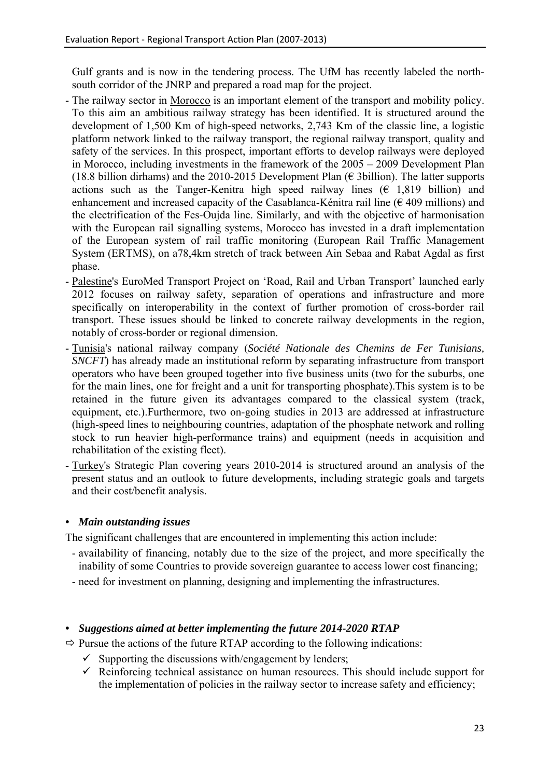Gulf grants and is now in the tendering process. The UfM has recently labeled the northsouth corridor of the JNRP and prepared a road map for the project.

- The railway sector in Morocco is an important element of the transport and mobility policy. To this aim an ambitious railway strategy has been identified. It is structured around the development of 1,500 Km of high-speed networks, 2,743 Km of the classic line, a logistic platform network linked to the railway transport, the regional railway transport, quality and safety of the services. In this prospect, important efforts to develop railways were deployed in Morocco, including investments in the framework of the 2005 – 2009 Development Plan (18.8 billion dirhams) and the 2010-2015 Development Plan ( $\epsilon$  3billion). The latter supports actions such as the Tanger-Kenitra high speed railway lines  $(E \ 1.819 \text{ billion})$  and enhancement and increased capacity of the Casablanca-Kénitra rail line ( $\epsilon$  409 millions) and the electrification of the Fes-Oujda line. Similarly, and with the objective of harmonisation with the European rail signalling systems, Morocco has invested in a draft implementation of the European system of rail traffic monitoring (European Rail Traffic Management System (ERTMS), on a78,4km stretch of track between Ain Sebaa and Rabat Agdal as first phase.
- Palestine's EuroMed Transport Project on 'Road, Rail and Urban Transport' launched early 2012 focuses on railway safety, separation of operations and infrastructure and more specifically on interoperability in the context of further promotion of cross-border rail transport. These issues should be linked to concrete railway developments in the region, notably of cross-border or regional dimension.
- Tunisia's national railway company (*Société Nationale des Chemins de Fer Tunisians, SNCFT*) has already made an institutional reform by separating infrastructure from transport operators who have been grouped together into five business units (two for the suburbs, one for the main lines, one for freight and a unit for transporting phosphate).This system is to be retained in the future given its advantages compared to the classical system (track, equipment, etc.).Furthermore, two on-going studies in 2013 are addressed at infrastructure (high-speed lines to neighbouring countries, adaptation of the phosphate network and rolling stock to run heavier high-performance trains) and equipment (needs in acquisition and rehabilitation of the existing fleet).
- Turkey's Strategic Plan covering years 2010-2014 is structured around an analysis of the present status and an outlook to future developments, including strategic goals and targets and their cost/benefit analysis.

# *• Main outstanding issues*

The significant challenges that are encountered in implementing this action include:

- availability of financing, notably due to the size of the project, and more specifically the inability of some Countries to provide sovereign guarantee to access lower cost financing;
- need for investment on planning, designing and implementing the infrastructures.

# *• Suggestions aimed at better implementing the future 2014-2020 RTAP*

 $\Rightarrow$  Pursue the actions of the future RTAP according to the following indications:

- $\checkmark$  Supporting the discussions with/engagement by lenders;
- $\checkmark$  Reinforcing technical assistance on human resources. This should include support for the implementation of policies in the railway sector to increase safety and efficiency;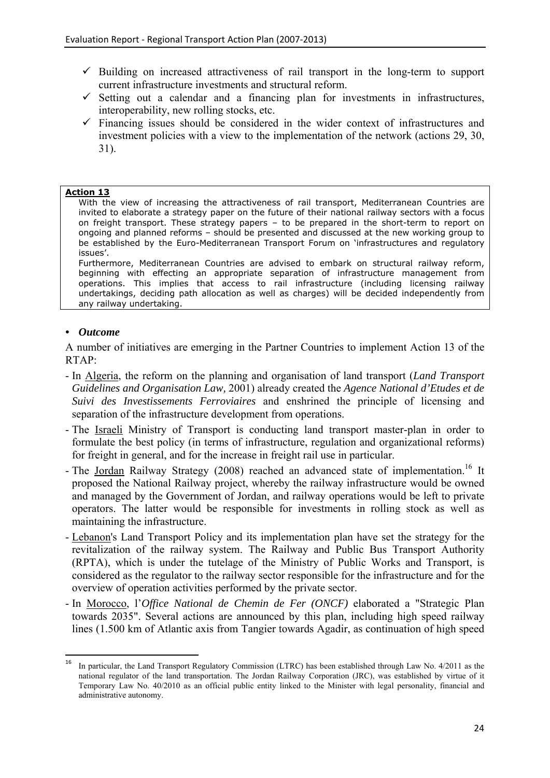- $\checkmark$  Building on increased attractiveness of rail transport in the long-term to support current infrastructure investments and structural reform.
- $\checkmark$  Setting out a calendar and a financing plan for investments in infrastructures, interoperability, new rolling stocks, etc.
- $\checkmark$  Financing issues should be considered in the wider context of infrastructures and investment policies with a view to the implementation of the network (actions 29, 30, 31).

#### **Action 13**

With the view of increasing the attractiveness of rail transport, Mediterranean Countries are invited to elaborate a strategy paper on the future of their national railway sectors with a focus on freight transport. These strategy papers – to be prepared in the short-term to report on ongoing and planned reforms – should be presented and discussed at the new working group to be established by the Euro-Mediterranean Transport Forum on 'infrastructures and regulatory issues'.

Furthermore, Mediterranean Countries are advised to embark on structural railway reform, beginning with effecting an appropriate separation of infrastructure management from operations. This implies that access to rail infrastructure (including licensing railway undertakings, deciding path allocation as well as charges) will be decided independently from any railway undertaking.

### *• Outcome*

A number of initiatives are emerging in the Partner Countries to implement Action 13 of the RTAP:

- In Algeria, the reform on the planning and organisation of land transport (*Land Transport Guidelines and Organisation Law,* 2001) already created the *Agence National d'Etudes et de Suivi des Investissements Ferroviaires* and enshrined the principle of licensing and separation of the infrastructure development from operations.
- The Israeli Ministry of Transport is conducting land transport master-plan in order to formulate the best policy (in terms of infrastructure, regulation and organizational reforms) for freight in general, and for the increase in freight rail use in particular.
- The Jordan Railway Strategy (2008) reached an advanced state of implementation.<sup>16</sup> It proposed the National Railway project, whereby the railway infrastructure would be owned and managed by the Government of Jordan, and railway operations would be left to private operators. The latter would be responsible for investments in rolling stock as well as maintaining the infrastructure.
- Lebanon's Land Transport Policy and its implementation plan have set the strategy for the revitalization of the railway system. The Railway and Public Bus Transport Authority (RPTA), which is under the tutelage of the Ministry of Public Works and Transport, is considered as the regulator to the railway sector responsible for the infrastructure and for the overview of operation activities performed by the private sector.
- In Morocco, l'*Office National de Chemin de Fer (ONCF)* elaborated a "Strategic Plan towards 2035". Several actions are announced by this plan, including high speed railway lines (1.500 km of Atlantic axis from Tangier towards Agadir, as continuation of high speed

 ${\bf 16}$ 16 In particular, the Land Transport Regulatory Commission (LTRC) has been established through Law No. 4/2011 as the national regulator of the land transportation. The Jordan Railway Corporation (JRC), was established by virtue of it Temporary Law No. 40/2010 as an official public entity linked to the Minister with legal personality, financial and administrative autonomy.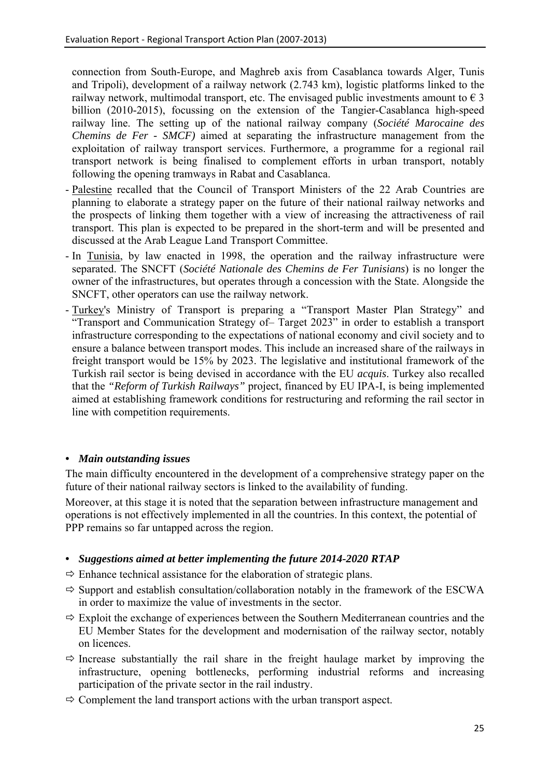connection from South-Europe, and Maghreb axis from Casablanca towards Alger, Tunis and Tripoli), development of a railway network (2.743 km), logistic platforms linked to the railway network, multimodal transport, etc. The envisaged public investments amount to  $\epsilon$  3 billion (2010-2015), focussing on the extension of the Tangier-Casablanca high-speed railway line. The setting up of the national railway company (*Société Marocaine des Chemins de Fer - SMCF)* aimed at separating the infrastructure management from the exploitation of railway transport services. Furthermore, a programme for a regional rail transport network is being finalised to complement efforts in urban transport, notably following the opening tramways in Rabat and Casablanca.

- Palestine recalled that the Council of Transport Ministers of the 22 Arab Countries are planning to elaborate a strategy paper on the future of their national railway networks and the prospects of linking them together with a view of increasing the attractiveness of rail transport. This plan is expected to be prepared in the short-term and will be presented and discussed at the Arab League Land Transport Committee.
- In Tunisia, by law enacted in 1998, the operation and the railway infrastructure were separated. The SNCFT (*Société Nationale des Chemins de Fer Tunisians*) is no longer the owner of the infrastructures, but operates through a concession with the State. Alongside the SNCFT, other operators can use the railway network.
- Turkey's Ministry of Transport is preparing a "Transport Master Plan Strategy" and "Transport and Communication Strategy of– Target 2023" in order to establish a transport infrastructure corresponding to the expectations of national economy and civil society and to ensure a balance between transport modes. This include an increased share of the railways in freight transport would be 15% by 2023. The legislative and institutional framework of the Turkish rail sector is being devised in accordance with the EU *acquis*. Turkey also recalled that the *"Reform of Turkish Railways"* project, financed by EU IPA-I, is being implemented aimed at establishing framework conditions for restructuring and reforming the rail sector in line with competition requirements.

# *• Main outstanding issues*

The main difficulty encountered in the development of a comprehensive strategy paper on the future of their national railway sectors is linked to the availability of funding.

Moreover, at this stage it is noted that the separation between infrastructure management and operations is not effectively implemented in all the countries. In this context, the potential of PPP remains so far untapped across the region.

- *Suggestions aimed at better implementing the future 2014-2020 RTAP*
- $\Rightarrow$  Enhance technical assistance for the elaboration of strategic plans.
- $\Rightarrow$  Support and establish consultation/collaboration notably in the framework of the ESCWA in order to maximize the value of investments in the sector.
- $\Rightarrow$  Exploit the exchange of experiences between the Southern Mediterranean countries and the EU Member States for the development and modernisation of the railway sector, notably on licences.
- $\Rightarrow$  Increase substantially the rail share in the freight haulage market by improving the infrastructure, opening bottlenecks, performing industrial reforms and increasing participation of the private sector in the rail industry.
- $\Rightarrow$  Complement the land transport actions with the urban transport aspect.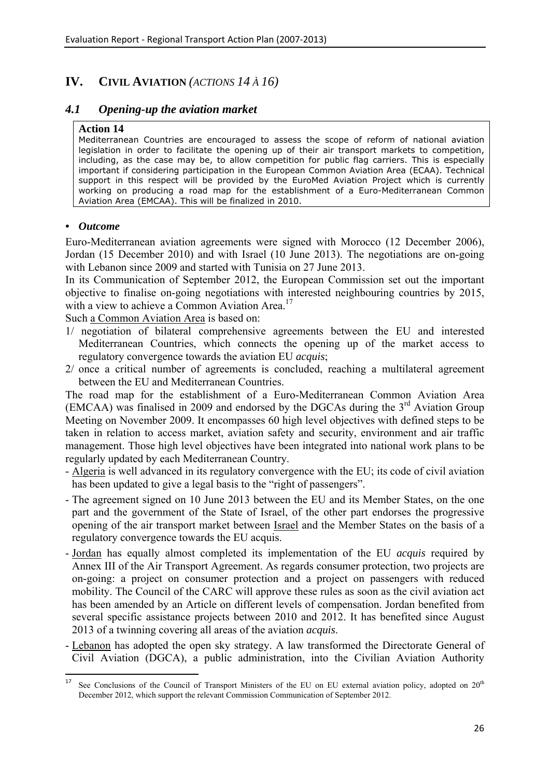# <span id="page-26-0"></span>**IV. CIVIL AVIATION** *(ACTIONS 14 À 16)*

# <span id="page-26-1"></span>*4.1 Opening-up the aviation market*

#### **Action 14**

Mediterranean Countries are encouraged to assess the scope of reform of national aviation legislation in order to facilitate the opening up of their air transport markets to competition, including, as the case may be, to allow competition for public flag carriers. This is especially important if considering participation in the European Common Aviation Area (ECAA). Technical support in this respect will be provided by the EuroMed Aviation Project which is currently working on producing a road map for the establishment of a Euro-Mediterranean Common Aviation Area (EMCAA). This will be finalized in 2010.

# *• Outcome*

Euro-Mediterranean aviation agreements were signed with Morocco (12 December 2006), Jordan (15 December 2010) and with Israel (10 June 2013). The negotiations are on-going with Lebanon since 2009 and started with Tunisia on 27 June 2013.

In its Communication of September 2012, the European Commission set out the important objective to finalise on-going negotiations with interested neighbouring countries by 2015, with a view to achieve a Common Aviation Area.<sup>17</sup>

Such a Common Aviation Area is based on:

- 1/ negotiation of bilateral comprehensive agreements between the EU and interested Mediterranean Countries, which connects the opening up of the market access to regulatory convergence towards the aviation EU *acquis*;
- 2/ once a critical number of agreements is concluded, reaching a multilateral agreement between the EU and Mediterranean Countries.

The road map for the establishment of a Euro-Mediterranean Common Aviation Area (EMCAA) was finalised in 2009 and endorsed by the DGCAs during the  $3<sup>rd</sup>$  Aviation Group Meeting on November 2009. It encompasses 60 high level objectives with defined steps to be taken in relation to access market, aviation safety and security, environment and air traffic management. Those high level objectives have been integrated into national work plans to be regularly updated by each Mediterranean Country.

- Algeria is well advanced in its regulatory convergence with the EU; its code of civil aviation has been updated to give a legal basis to the "right of passengers".
- The agreement signed on 10 June 2013 between the EU and its Member States, on the one part and the government of the State of Israel, of the other part endorses the progressive opening of the air transport market between Israel and the Member States on the basis of a regulatory convergence towards the EU acquis.
- Jordan has equally almost completed its implementation of the EU *acquis* required by Annex III of the Air Transport Agreement. As regards consumer protection, two projects are on-going: a project on consumer protection and a project on passengers with reduced mobility. The Council of the CARC will approve these rules as soon as the civil aviation act has been amended by an Article on different levels of compensation. Jordan benefited from several specific assistance projects between 2010 and 2012. It has benefited since August 2013 of a twinning covering all areas of the aviation *acquis*.
- Lebanon has adopted the open sky strategy. A law transformed the Directorate General of Civil Aviation (DGCA), a public administration, into the Civilian Aviation Authority

<sup>17</sup> See Conclusions of the Council of Transport Ministers of the EU on EU external aviation policy, adopted on  $20<sup>th</sup>$ December 2012, which support the relevant Commission Communication of September 2012.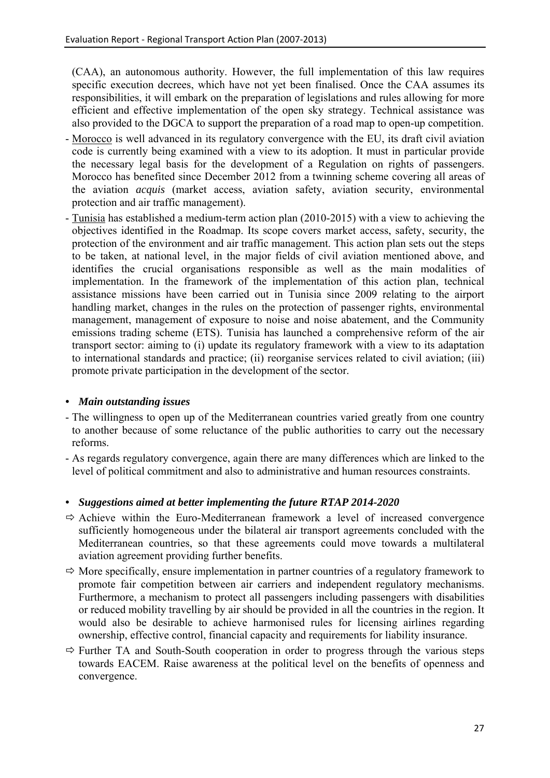(CAA), an autonomous authority. However, the full implementation of this law requires specific execution decrees, which have not yet been finalised. Once the CAA assumes its responsibilities, it will embark on the preparation of legislations and rules allowing for more efficient and effective implementation of the open sky strategy. Technical assistance was also provided to the DGCA to support the preparation of a road map to open-up competition.

- Morocco is well advanced in its regulatory convergence with the EU, its draft civil aviation code is currently being examined with a view to its adoption. It must in particular provide the necessary legal basis for the development of a Regulation on rights of passengers. Morocco has benefited since December 2012 from a twinning scheme covering all areas of the aviation *acquis* (market access, aviation safety, aviation security, environmental protection and air traffic management).
- Tunisia has established a medium-term action plan (2010-2015) with a view to achieving the objectives identified in the Roadmap. Its scope covers market access, safety, security, the protection of the environment and air traffic management. This action plan sets out the steps to be taken, at national level, in the major fields of civil aviation mentioned above, and identifies the crucial organisations responsible as well as the main modalities of implementation. In the framework of the implementation of this action plan, technical assistance missions have been carried out in Tunisia since 2009 relating to the airport handling market, changes in the rules on the protection of passenger rights, environmental management, management of exposure to noise and noise abatement, and the Community emissions trading scheme (ETS). Tunisia has launched a comprehensive reform of the air transport sector: aiming to (i) update its regulatory framework with a view to its adaptation to international standards and practice; (ii) reorganise services related to civil aviation; (iii) promote private participation in the development of the sector.

# *• Main outstanding issues*

- The willingness to open up of the Mediterranean countries varied greatly from one country to another because of some reluctance of the public authorities to carry out the necessary reforms.
- As regards regulatory convergence, again there are many differences which are linked to the level of political commitment and also to administrative and human resources constraints.

# *• Suggestions aimed at better implementing the future RTAP 2014-2020*

- $\Rightarrow$  Achieve within the Euro-Mediterranean framework a level of increased convergence sufficiently homogeneous under the bilateral air transport agreements concluded with the Mediterranean countries, so that these agreements could move towards a multilateral aviation agreement providing further benefits.
- $\Rightarrow$  More specifically, ensure implementation in partner countries of a regulatory framework to promote fair competition between air carriers and independent regulatory mechanisms. Furthermore, a mechanism to protect all passengers including passengers with disabilities or reduced mobility travelling by air should be provided in all the countries in the region. It would also be desirable to achieve harmonised rules for licensing airlines regarding ownership, effective control, financial capacity and requirements for liability insurance.
- $\Rightarrow$  Further TA and South-South cooperation in order to progress through the various steps towards EACEM. Raise awareness at the political level on the benefits of openness and convergence.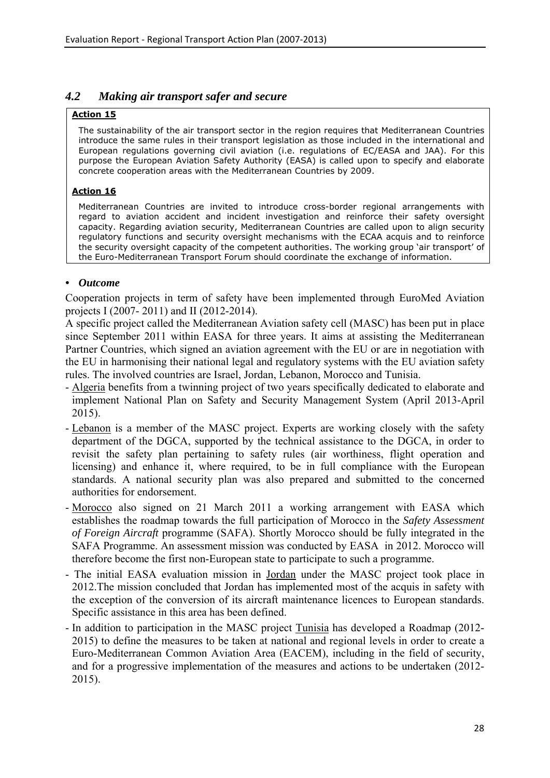### <span id="page-28-0"></span>*4.2 Making air transport safer and secure*

#### **Action 15**

The sustainability of the air transport sector in the region requires that Mediterranean Countries introduce the same rules in their transport legislation as those included in the international and European regulations governing civil aviation (i.e. regulations of EC/EASA and JAA). For this purpose the European Aviation Safety Authority (EASA) is called upon to specify and elaborate concrete cooperation areas with the Mediterranean Countries by 2009.

#### **Action 16**

Mediterranean Countries are invited to introduce cross-border regional arrangements with regard to aviation accident and incident investigation and reinforce their safety oversight capacity. Regarding aviation security, Mediterranean Countries are called upon to align security regulatory functions and security oversight mechanisms with the ECAA acquis and to reinforce the security oversight capacity of the competent authorities. The working group 'air transport' of the Euro-Mediterranean Transport Forum should coordinate the exchange of information.

#### *• Outcome*

Cooperation projects in term of safety have been implemented through EuroMed Aviation projects I (2007- 2011) and II (2012-2014).

A specific project called the Mediterranean Aviation safety cell (MASC) has been put in place since September 2011 within EASA for three years. It aims at assisting the Mediterranean Partner Countries, which signed an aviation agreement with the EU or are in negotiation with the EU in harmonising their national legal and regulatory systems with the EU aviation safety rules. The involved countries are Israel, Jordan, Lebanon, Morocco and Tunisia.

- Algeria benefits from a twinning project of two years specifically dedicated to elaborate and implement National Plan on Safety and Security Management System (April 2013-April 2015).
- Lebanon is a member of the MASC project. Experts are working closely with the safety department of the DGCA, supported by the technical assistance to the DGCA, in order to revisit the safety plan pertaining to safety rules (air worthiness, flight operation and licensing) and enhance it, where required, to be in full compliance with the European standards. A national security plan was also prepared and submitted to the concerned authorities for endorsement.
- Morocco also signed on 21 March 2011 a working arrangement with EASA which establishes the roadmap towards the full participation of Morocco in the *Safety Assessment of Foreign Aircraft* programme (SAFA). Shortly Morocco should be fully integrated in the SAFA Programme. An assessment mission was conducted by EASA in 2012. Morocco will therefore become the first non-European state to participate to such a programme.
- The initial EASA evaluation mission in Jordan under the MASC project took place in 2012.The mission concluded that Jordan has implemented most of the acquis in safety with the exception of the conversion of its aircraft maintenance licences to European standards. Specific assistance in this area has been defined.
- In addition to participation in the MASC project Tunisia has developed a Roadmap (2012- 2015) to define the measures to be taken at national and regional levels in order to create a Euro-Mediterranean Common Aviation Area (EACEM), including in the field of security, and for a progressive implementation of the measures and actions to be undertaken (2012- 2015).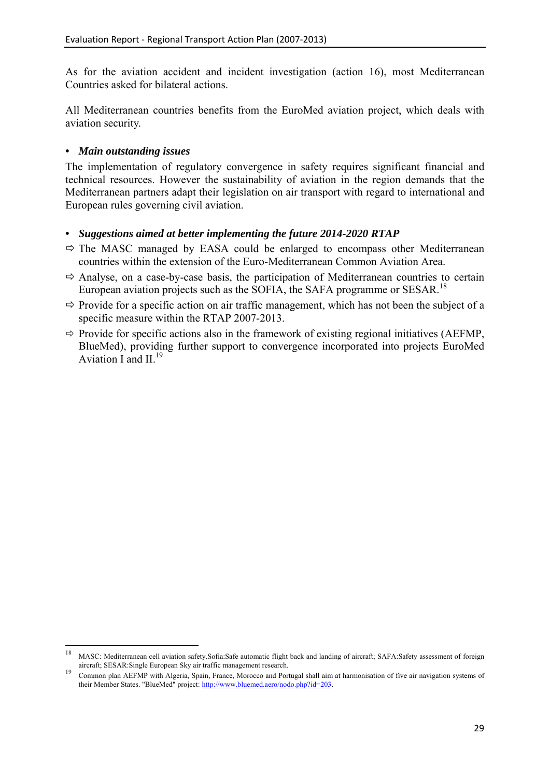As for the aviation accident and incident investigation (action 16), most Mediterranean Countries asked for bilateral actions.

All Mediterranean countries benefits from the EuroMed aviation project, which deals with aviation security.

### *• Main outstanding issues*

The implementation of regulatory convergence in safety requires significant financial and technical resources. However the sustainability of aviation in the region demands that the Mediterranean partners adapt their legislation on air transport with regard to international and European rules governing civil aviation.

- $\Rightarrow$  The MASC managed by EASA could be enlarged to encompass other Mediterranean countries within the extension of the Euro-Mediterranean Common Aviation Area.
- $\Rightarrow$  Analyse, on a case-by-case basis, the participation of Mediterranean countries to certain European aviation projects such as the SOFIA, the SAFA programme or SESAR.<sup>18</sup>
- $\Rightarrow$  Provide for a specific action on air traffic management, which has not been the subject of a specific measure within the RTAP 2007-2013.
- $\Rightarrow$  Provide for specific actions also in the framework of existing regional initiatives (AEFMP, BlueMed), providing further support to convergence incorporated into projects EuroMed Aviation I and  $II<sup>19</sup>$

<sup>18</sup> <sup>18</sup> MASC: Mediterranean cell aviation safety.Sofia:Safe automatic flight back and landing of aircraft; SAFA:Safety assessment of foreign

aircraft; SESAR:Single European Sky air traffic management research.<br>19 Common plan AEFMP with Algeria, Spain, France, Morocco and Portugal shall aim at harmonisation of five air navigation systems of their Member States. "Blu[eMed" project:](http://www.bluemed.aero/nodo.php?id=203) http://www.bluemed.aero/nodo.php?id=203.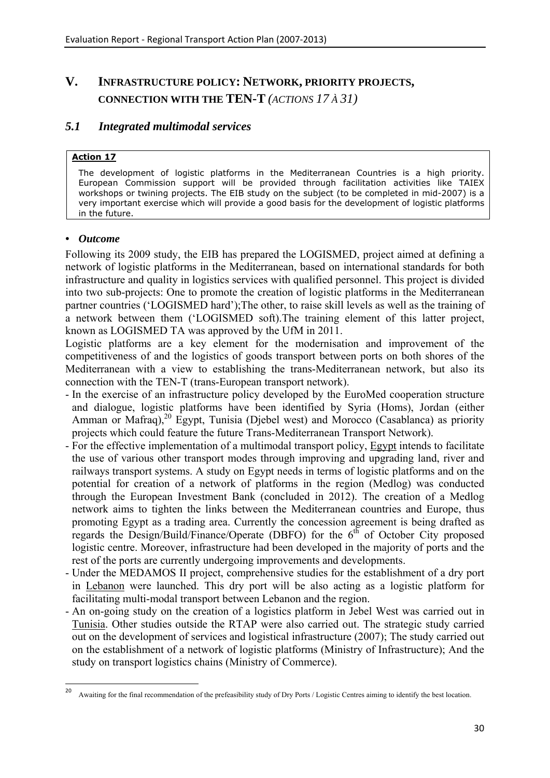# <span id="page-30-0"></span>**V. INFRASTRUCTURE POLICY: NETWORK, PRIORITY PROJECTS, CONNECTION WITH THE TEN-T** *(ACTIONS 17 À 31)*

# <span id="page-30-1"></span>*5.1 Integrated multimodal services*

#### **Action 17**

The development of logistic platforms in the Mediterranean Countries is a high priority. European Commission support will be provided through facilitation activities like TAIEX workshops or twining projects. The EIB study on the subject (to be completed in mid-2007) is a very important exercise which will provide a good basis for the development of logistic platforms in the future.

#### *• Outcome*

Following its 2009 study, the EIB has prepared the LOGISMED, project aimed at defining a network of logistic platforms in the Mediterranean, based on international standards for both infrastructure and quality in logistics services with qualified personnel. This project is divided into two sub-projects: One to promote the creation of logistic platforms in the Mediterranean partner countries ('LOGISMED hard');The other, to raise skill levels as well as the training of a network between them ('LOGISMED soft).The training element of this latter project, known as LOGISMED TA was approved by the UfM in 2011.

Logistic platforms are a key element for the modernisation and improvement of the competitiveness of and the logistics of goods transport between ports on both shores of the Mediterranean with a view to establishing the trans-Mediterranean network, but also its connection with the TEN-T (trans-European transport network).

- In the exercise of an infrastructure policy developed by the EuroMed cooperation structure and dialogue, logistic platforms have been identified by Syria (Homs), Jordan (either Amman or Mafraq), $^{20}$  Egypt, Tunisia (Djebel west) and Morocco (Casablanca) as priority projects which could feature the future Trans-Mediterranean Transport Network).
- For the effective implementation of a multimodal transport policy, Egypt intends to facilitate the use of various other transport modes through improving and upgrading land, river and railways transport systems. A study on Egypt needs in terms of logistic platforms and on the potential for creation of a network of platforms in the region (Medlog) was conducted through the European Investment Bank (concluded in 2012). The creation of a Medlog network aims to tighten the links between the Mediterranean countries and Europe, thus promoting Egypt as a trading area. Currently the concession agreement is being drafted as regards the Design/Build/Finance/Operate (DBFO) for the  $6<sup>th</sup>$  of October City proposed logistic centre. Moreover, infrastructure had been developed in the majority of ports and the rest of the ports are currently undergoing improvements and developments.
- Under the MEDAMOS II project, comprehensive studies for the establishment of a dry port in Lebanon were launched. This dry port will be also acting as a logistic platform for facilitating multi-modal transport between Lebanon and the region.
- An on-going study on the creation of a logistics platform in Jebel West was carried out in Tunisia. Other studies outside the RTAP were also carried out. The strategic study carried out on the development of services and logistical infrastructure (2007); The study carried out on the establishment of a network of logistic platforms (Ministry of Infrastructure); And the study on transport logistics chains (Ministry of Commerce).

 $20$ 20 Awaiting for the final recommendation of the prefeasibility study of Dry Ports / Logistic Centres aiming to identify the best location.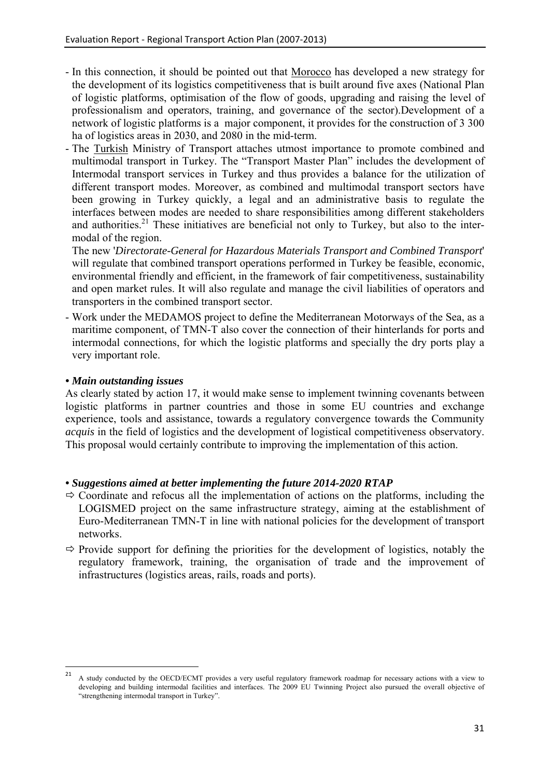- In this connection, it should be pointed out that Morocco has developed a new strategy for the development of its logistics competitiveness that is built around five axes (National Plan of logistic platforms, optimisation of the flow of goods, upgrading and raising the level of professionalism and operators, training, and governance of the sector).Development of a network of logistic platforms is a major component, it provides for the construction of 3 300 ha of logistics areas in 2030, and 2080 in the mid-term.
- The Turkish Ministry of Transport attaches utmost importance to promote combined and multimodal transport in Turkey. The "Transport Master Plan" includes the development of Intermodal transport services in Turkey and thus provides a balance for the utilization of different transport modes. Moreover, as combined and multimodal transport sectors have been growing in Turkey quickly, a legal and an administrative basis to regulate the interfaces between modes are needed to share responsibilities among different stakeholders and authorities.<sup>21</sup> These initiatives are beneficial not only to Turkey, but also to the intermodal of the region.

The new '*Directorate-General for Hazardous Materials Transport and Combined Transport*' will regulate that combined transport operations performed in Turkey be feasible, economic, environmental friendly and efficient, in the framework of fair competitiveness, sustainability and open market rules. It will also regulate and manage the civil liabilities of operators and transporters in the combined transport sector.

- Work under the MEDAMOS project to define the Mediterranean Motorways of the Sea, as a maritime component, of TMN-T also cover the connection of their hinterlands for ports and intermodal connections, for which the logistic platforms and specially the dry ports play a very important role.

# *• Main outstanding issues*

**.** 

As clearly stated by action 17, it would make sense to implement twinning covenants between logistic platforms in partner countries and those in some EU countries and exchange experience, tools and assistance, towards a regulatory convergence towards the Community *acquis* in the field of logistics and the development of logistical competitiveness observatory. This proposal would certainly contribute to improving the implementation of this action.

- $\Rightarrow$  Coordinate and refocus all the implementation of actions on the platforms, including the LOGISMED project on the same infrastructure strategy, aiming at the establishment of Euro-Mediterranean TMN-T in line with national policies for the development of transport networks.
- $\Rightarrow$  Provide support for defining the priorities for the development of logistics, notably the regulatory framework, training, the organisation of trade and the improvement of infrastructures (logistics areas, rails, roads and ports).

<sup>21</sup> A study conducted by the OECD/ECMT provides a very useful regulatory framework roadmap for necessary actions with a view to developing and building intermodal facilities and interfaces. The 2009 EU Twinning Project also pursued the overall objective of "strengthening intermodal transport in Turkey".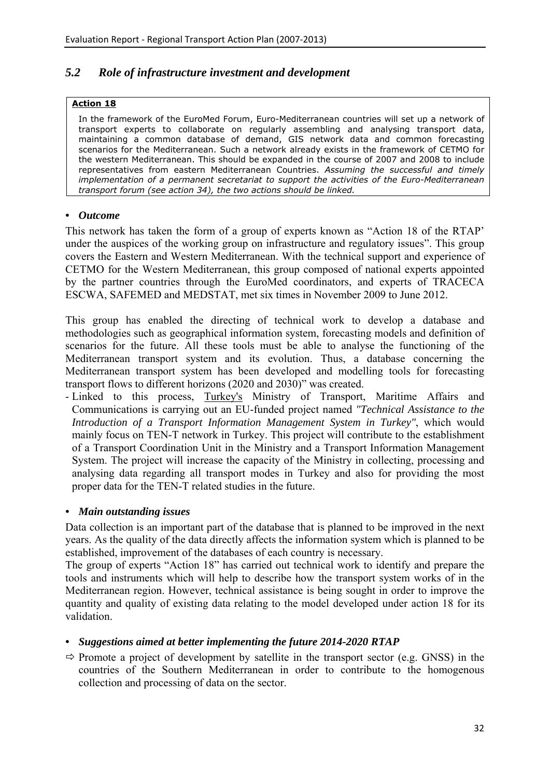# <span id="page-32-0"></span>*5.2 Role of infrastructure investment and development*

#### **Action 18**

In the framework of the EuroMed Forum, Euro-Mediterranean countries will set up a network of transport experts to collaborate on regularly assembling and analysing transport data, maintaining a common database of demand, GIS network data and common forecasting scenarios for the Mediterranean. Such a network already exists in the framework of CETMO for the western Mediterranean. This should be expanded in the course of 2007 and 2008 to include representatives from eastern Mediterranean Countries. *Assuming the successful and timely implementation of a permanent secretariat to support the activities of the Euro-Mediterranean transport forum (see action 34), the two actions should be linked.*

### *• Outcome*

This network has taken the form of a group of experts known as "Action 18 of the RTAP' under the auspices of the working group on infrastructure and regulatory issues". This group covers the Eastern and Western Mediterranean. With the technical support and experience of CETMO for the Western Mediterranean, this group composed of national experts appointed by the partner countries through the EuroMed coordinators, and experts of TRACECA ESCWA, SAFEMED and MEDSTAT, met six times in November 2009 to June 2012.

This group has enabled the directing of technical work to develop a database and methodologies such as geographical information system, forecasting models and definition of scenarios for the future. All these tools must be able to analyse the functioning of the Mediterranean transport system and its evolution. Thus, a database concerning the Mediterranean transport system has been developed and modelling tools for forecasting transport flows to different horizons (2020 and 2030)" was created.

- Linked to this process, Turkey's Ministry of Transport, Maritime Affairs and Communications is carrying out an EU-funded project named *"Technical Assistance to the Introduction of a Transport Information Management System in Turkey"*, which would mainly focus on TEN-T network in Turkey. This project will contribute to the establishment of a Transport Coordination Unit in the Ministry and a Transport Information Management System. The project will increase the capacity of the Ministry in collecting, processing and analysing data regarding all transport modes in Turkey and also for providing the most proper data for the TEN-T related studies in the future.

# *• Main outstanding issues*

Data collection is an important part of the database that is planned to be improved in the next years. As the quality of the data directly affects the information system which is planned to be established, improvement of the databases of each country is necessary.

The group of experts "Action 18" has carried out technical work to identify and prepare the tools and instruments which will help to describe how the transport system works of in the Mediterranean region. However, technical assistance is being sought in order to improve the quantity and quality of existing data relating to the model developed under action 18 for its validation.

# *• Suggestions aimed at better implementing the future 2014-2020 RTAP*

 $\Rightarrow$  Promote a project of development by satellite in the transport sector (e.g. GNSS) in the countries of the Southern Mediterranean in order to contribute to the homogenous collection and processing of data on the sector.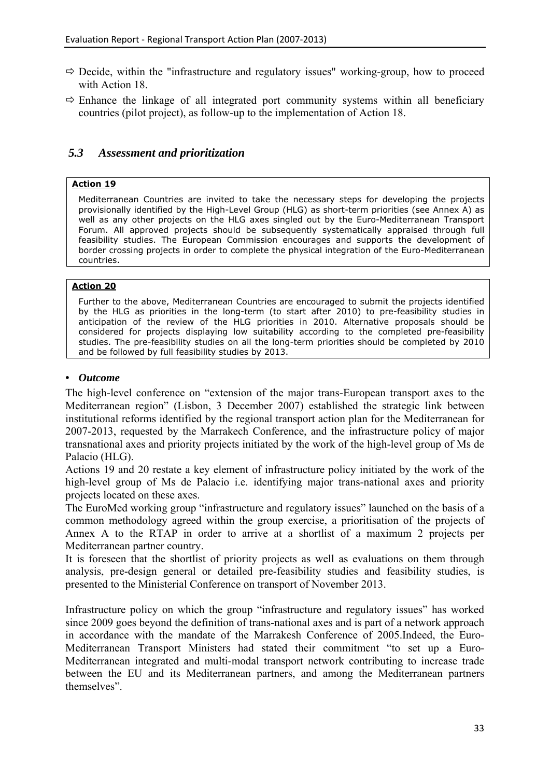- $\Rightarrow$  Decide, within the "infrastructure and regulatory issues" working-group, how to proceed with Action 18.
- $\Rightarrow$  Enhance the linkage of all integrated port community systems within all beneficiary countries (pilot project), as follow-up to the implementation of Action 18.

# <span id="page-33-0"></span> *5.3 Assessment and prioritization*

### **Action 19**

Mediterranean Countries are invited to take the necessary steps for developing the projects provisionally identified by the High-Level Group (HLG) as short-term priorities (see Annex A) as well as any other projects on the HLG axes singled out by the Euro-Mediterranean Transport Forum. All approved projects should be subsequently systematically appraised through full feasibility studies. The European Commission encourages and supports the development of border crossing projects in order to complete the physical integration of the Euro-Mediterranean countries.

### **Action 20**

Further to the above, Mediterranean Countries are encouraged to submit the projects identified by the HLG as priorities in the long-term (to start after 2010) to pre-feasibility studies in anticipation of the review of the HLG priorities in 2010. Alternative proposals should be considered for projects displaying low suitability according to the completed pre-feasibility studies. The pre-feasibility studies on all the long-term priorities should be completed by 2010 and be followed by full feasibility studies by 2013.

### *• Outcome*

The high-level conference on "extension of the major trans-European transport axes to the Mediterranean region" (Lisbon, 3 December 2007) established the strategic link between institutional reforms identified by the regional transport action plan for the Mediterranean for 2007-2013, requested by the Marrakech Conference, and the infrastructure policy of major transnational axes and priority projects initiated by the work of the high-level group of Ms de Palacio (HLG).

Actions 19 and 20 restate a key element of infrastructure policy initiated by the work of the high-level group of Ms de Palacio i.e. identifying major trans-national axes and priority projects located on these axes.

The EuroMed working group "infrastructure and regulatory issues" launched on the basis of a common methodology agreed within the group exercise, a prioritisation of the projects of Annex A to the RTAP in order to arrive at a shortlist of a maximum 2 projects per Mediterranean partner country.

It is foreseen that the shortlist of priority projects as well as evaluations on them through analysis, pre-design general or detailed pre-feasibility studies and feasibility studies, is presented to the Ministerial Conference on transport of November 2013.

Infrastructure policy on which the group "infrastructure and regulatory issues" has worked since 2009 goes beyond the definition of trans-national axes and is part of a network approach in accordance with the mandate of the Marrakesh Conference of 2005.Indeed, the Euro-Mediterranean Transport Ministers had stated their commitment "to set up a Euro-Mediterranean integrated and multi-modal transport network contributing to increase trade between the EU and its Mediterranean partners, and among the Mediterranean partners themselves".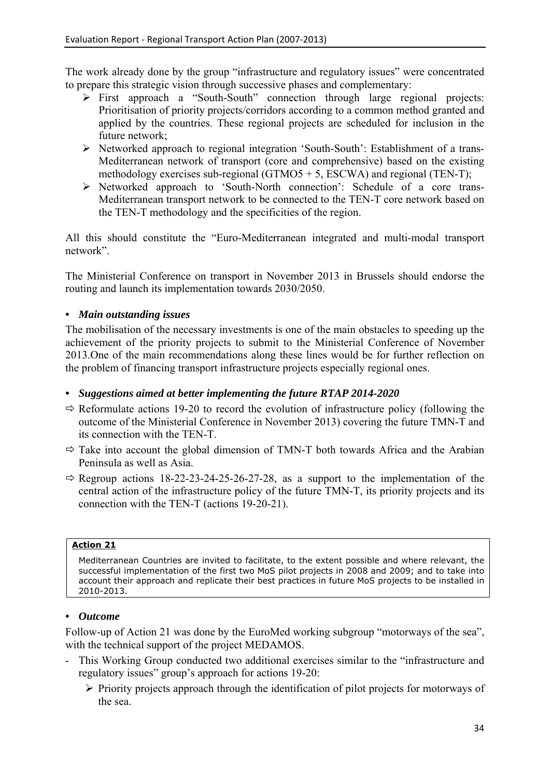The work already done by the group "infrastructure and regulatory issues" were concentrated to prepare this strategic vision through successive phases and complementary:

- ¾ First approach a "South-South" connection through large regional projects: Prioritisation of priority projects/corridors according to a common method granted and applied by the countries. These regional projects are scheduled for inclusion in the future network;
- ¾ Networked approach to regional integration 'South-South': Establishment of a trans-Mediterranean network of transport (core and comprehensive) based on the existing methodology exercises sub-regional (GTMO5 + 5, ESCWA) and regional (TEN-T);
- ¾ Networked approach to 'South-North connection': Schedule of a core trans-Mediterranean transport network to be connected to the TEN-T core network based on the TEN-T methodology and the specificities of the region.

All this should constitute the "Euro-Mediterranean integrated and multi-modal transport network".

The Ministerial Conference on transport in November 2013 in Brussels should endorse the routing and launch its implementation towards 2030/2050.

# *• Main outstanding issues*

The mobilisation of the necessary investments is one of the main obstacles to speeding up the achievement of the priority projects to submit to the Ministerial Conference of November 2013.One of the main recommendations along these lines would be for further reflection on the problem of financing transport infrastructure projects especially regional ones.

# *• Suggestions aimed at better implementing the future RTAP 2014-2020*

- $\Rightarrow$  Reformulate actions 19-20 to record the evolution of infrastructure policy (following the outcome of the Ministerial Conference in November 2013) covering the future TMN-T and its connection with the TEN-T.
- $\Rightarrow$  Take into account the global dimension of TMN-T both towards Africa and the Arabian Peninsula as well as Asia.
- $\Rightarrow$  Regroup actions 18-22-23-24-25-26-27-28, as a support to the implementation of the central action of the infrastructure policy of the future TMN-T, its priority projects and its connection with the TEN-T (actions 19-20-21).

#### **Action 21**

Mediterranean Countries are invited to facilitate, to the extent possible and where relevant, the successful implementation of the first two MoS pilot projects in 2008 and 2009; and to take into account their approach and replicate their best practices in future MoS projects to be installed in 2010-2013.

# *• Outcome*

Follow-up of Action 21 was done by the EuroMed working subgroup "motorways of the sea", with the technical support of the project MEDAMOS.

- This Working Group conducted two additional exercises similar to the "infrastructure and regulatory issues" group's approach for actions 19-20:
	- ¾ Priority projects approach through the identification of pilot projects for motorways of the sea.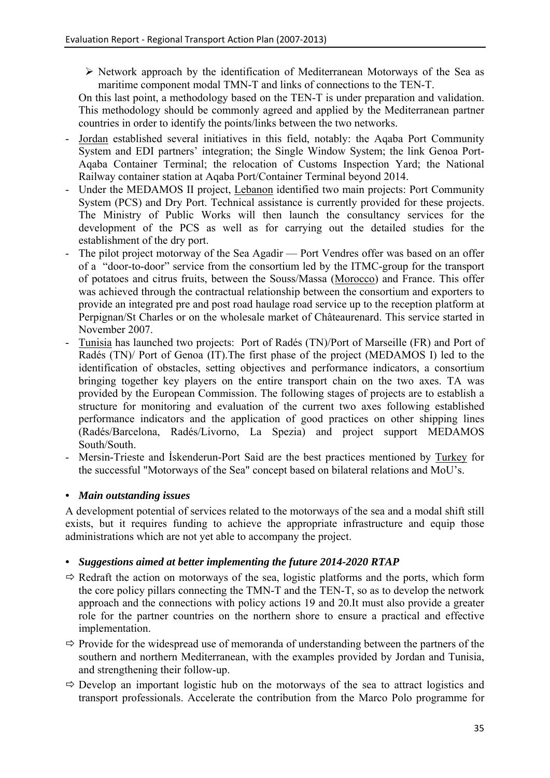$\triangleright$  Network approach by the identification of Mediterranean Motorways of the Sea as maritime component modal TMN-T and links of connections to the TEN-T.

On this last point, a methodology based on the TEN-T is under preparation and validation. This methodology should be commonly agreed and applied by the Mediterranean partner countries in order to identify the points/links between the two networks.

- Jordan established several initiatives in this field, notably: the Aqaba Port Community System and EDI partners' integration; the Single Window System; the link Genoa Port-Aqaba Container Terminal; the relocation of Customs Inspection Yard; the National Railway container station at Aqaba Port/Container Terminal beyond 2014.
- Under the MEDAMOS II project, Lebanon identified two main projects: Port Community System (PCS) and Dry Port. Technical assistance is currently provided for these projects. The Ministry of Public Works will then launch the consultancy services for the development of the PCS as well as for carrying out the detailed studies for the establishment of the dry port.
- The pilot project motorway of the Sea Agadir Port Vendres offer was based on an offer of a "door-to-door" service from the consortium led by the ITMC-group for the transport of potatoes and citrus fruits, between the Souss/Massa (Morocco) and France. This offer was achieved through the contractual relationship between the consortium and exporters to provide an integrated pre and post road haulage road service up to the reception platform at Perpignan/St Charles or on the wholesale market of Châteaurenard. This service started in November 2007.
- Tunisia has launched two projects: Port of Radés (TN)/Port of Marseille (FR) and Port of Radés (TN)/ Port of Genoa (IT).The first phase of the project (MEDAMOS I) led to the identification of obstacles, setting objectives and performance indicators, a consortium bringing together key players on the entire transport chain on the two axes. TA was provided by the European Commission. The following stages of projects are to establish a structure for monitoring and evaluation of the current two axes following established performance indicators and the application of good practices on other shipping lines (Radés/Barcelona, Radés/Livorno, La Spezia) and project support MEDAMOS South/South.
- Mersin-Trieste and İskenderun-Port Said are the best practices mentioned by Turkey for the successful "Motorways of the Sea" concept based on bilateral relations and MoU's.

# *• Main outstanding issues*

A development potential of services related to the motorways of the sea and a modal shift still exists, but it requires funding to achieve the appropriate infrastructure and equip those administrations which are not yet able to accompany the project.

- $\Rightarrow$  Redraft the action on motorways of the sea, logistic platforms and the ports, which form the core policy pillars connecting the TMN-T and the TEN-T, so as to develop the network approach and the connections with policy actions 19 and 20.It must also provide a greater role for the partner countries on the northern shore to ensure a practical and effective implementation.
- $\Rightarrow$  Provide for the widespread use of memoranda of understanding between the partners of the southern and northern Mediterranean, with the examples provided by Jordan and Tunisia, and strengthening their follow-up.
- $\Rightarrow$  Develop an important logistic hub on the motorways of the sea to attract logistics and transport professionals. Accelerate the contribution from the Marco Polo programme for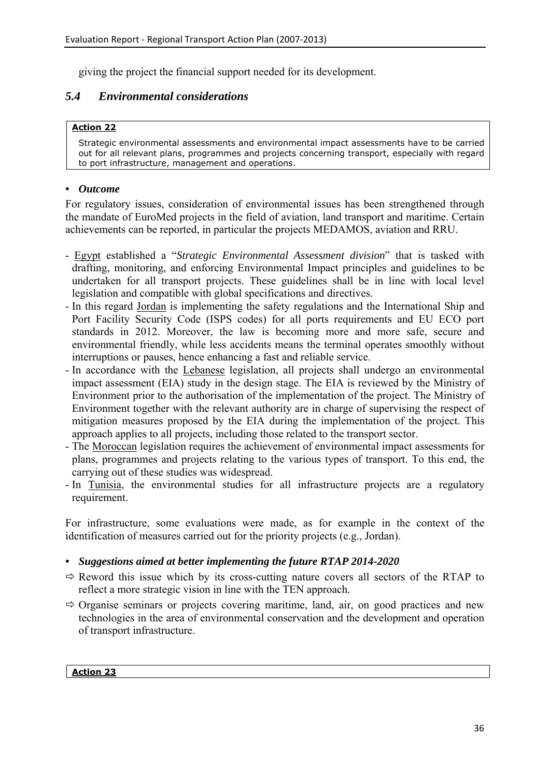giving the project the financial support needed for its development.

# <span id="page-36-0"></span>*5.4 Environmental considerations*

# **Action 22**

Strategic environmental assessments and environmental impact assessments have to be carried out for all relevant plans, programmes and projects concerning transport, especially with regard to port infrastructure, management and operations.

# *• Outcome*

For regulatory issues, consideration of environmental issues has been strengthened through the mandate of EuroMed projects in the field of aviation, land transport and maritime. Certain achievements can be reported, in particular the projects MEDAMOS, aviation and RRU.

- Egypt established a "*Strategic Environmental Assessment division*" that is tasked with drafting, monitoring, and enforcing Environmental Impact principles and guidelines to be undertaken for all transport projects. These guidelines shall be in line with local level legislation and compatible with global specifications and directives.
- In this regard Jordan is implementing the safety regulations and the International Ship and Port Facility Security Code (ISPS codes) for all ports requirements and EU ECO port standards in 2012. Moreover, the law is becoming more and more safe, secure and environmental friendly, while less accidents means the terminal operates smoothly without interruptions or pauses, hence enhancing a fast and reliable service.
- In accordance with the Lebanese legislation, all projects shall undergo an environmental impact assessment (EIA) study in the design stage. The EIA is reviewed by the Ministry of Environment prior to the authorisation of the implementation of the project. The Ministry of Environment together with the relevant authority are in charge of supervising the respect of mitigation measures proposed by the EIA during the implementation of the project. This approach applies to all projects, including those related to the transport sector.
- The Moroccan legislation requires the achievement of environmental impact assessments for plans, programmes and projects relating to the various types of transport. To this end, the carrying out of these studies was widespread.
- In Tunisia, the environmental studies for all infrastructure projects are a regulatory requirement.

For infrastructure, some evaluations were made, as for example in the context of the identification of measures carried out for the priority projects (e.g., Jordan).

# *• Suggestions aimed at better implementing the future RTAP 2014-2020*

- $\Rightarrow$  Reword this issue which by its cross-cutting nature covers all sectors of the RTAP to reflect a more strategic vision in line with the TEN approach.
- $\Rightarrow$  Organise seminars or projects covering maritime, land, air, on good practices and new technologies in the area of environmental conservation and the development and operation of transport infrastructure.

#### **Action 23**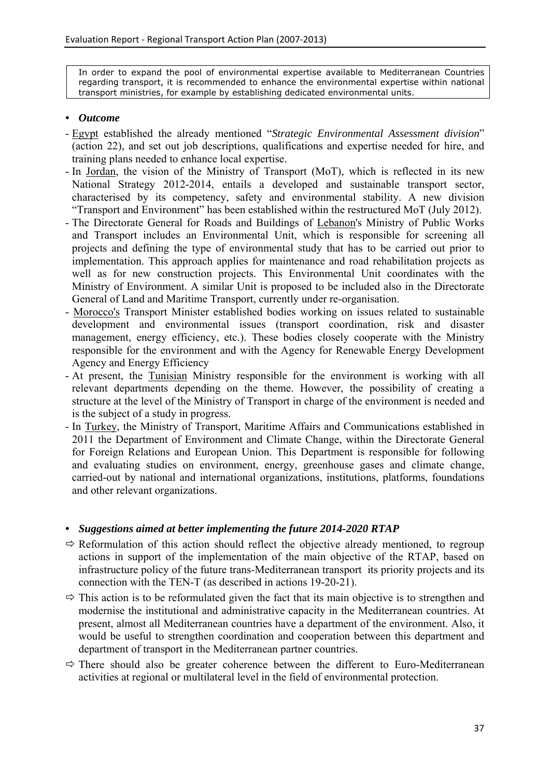In order to expand the pool of environmental expertise available to Mediterranean Countries regarding transport, it is recommended to enhance the environmental expertise within national transport ministries, for example by establishing dedicated environmental units.

#### *• Outcome*

- Egypt established the already mentioned "*Strategic Environmental Assessment division*" (action 22), and set out job descriptions, qualifications and expertise needed for hire, and training plans needed to enhance local expertise.
- In Jordan, the vision of the Ministry of Transport (MoT), which is reflected in its new National Strategy 2012-2014, entails a developed and sustainable transport sector, characterised by its competency, safety and environmental stability. A new division "Transport and Environment" has been established within the restructured MoT (July 2012).
- The Directorate General for Roads and Buildings of Lebanon's Ministry of Public Works and Transport includes an Environmental Unit, which is responsible for screening all projects and defining the type of environmental study that has to be carried out prior to implementation. This approach applies for maintenance and road rehabilitation projects as well as for new construction projects. This Environmental Unit coordinates with the Ministry of Environment. A similar Unit is proposed to be included also in the Directorate General of Land and Maritime Transport, currently under re-organisation.
- Morocco's Transport Minister established bodies working on issues related to sustainable development and environmental issues (transport coordination, risk and disaster management, energy efficiency, etc.). These bodies closely cooperate with the Ministry responsible for the environment and with the Agency for Renewable Energy Development Agency and Energy Efficiency
- At present, the Tunisian Ministry responsible for the environment is working with all relevant departments depending on the theme. However, the possibility of creating a structure at the level of the Ministry of Transport in charge of the environment is needed and is the subject of a study in progress.
- In Turkey, the Ministry of Transport, Maritime Affairs and Communications established in 2011 the Department of Environment and Climate Change, within the Directorate General for Foreign Relations and European Union. This Department is responsible for following and evaluating studies on environment, energy, greenhouse gases and climate change, carried-out by national and international organizations, institutions, platforms, foundations and other relevant organizations.

- $\Rightarrow$  Reformulation of this action should reflect the objective already mentioned, to regroup actions in support of the implementation of the main objective of the RTAP, based on infrastructure policy of the future trans-Mediterranean transport its priority projects and its connection with the TEN-T (as described in actions 19-20-21).
- $\Rightarrow$  This action is to be reformulated given the fact that its main objective is to strengthen and modernise the institutional and administrative capacity in the Mediterranean countries. At present, almost all Mediterranean countries have a department of the environment. Also, it would be useful to strengthen coordination and cooperation between this department and department of transport in the Mediterranean partner countries.
- $\Rightarrow$  There should also be greater coherence between the different to Euro-Mediterranean activities at regional or multilateral level in the field of environmental protection.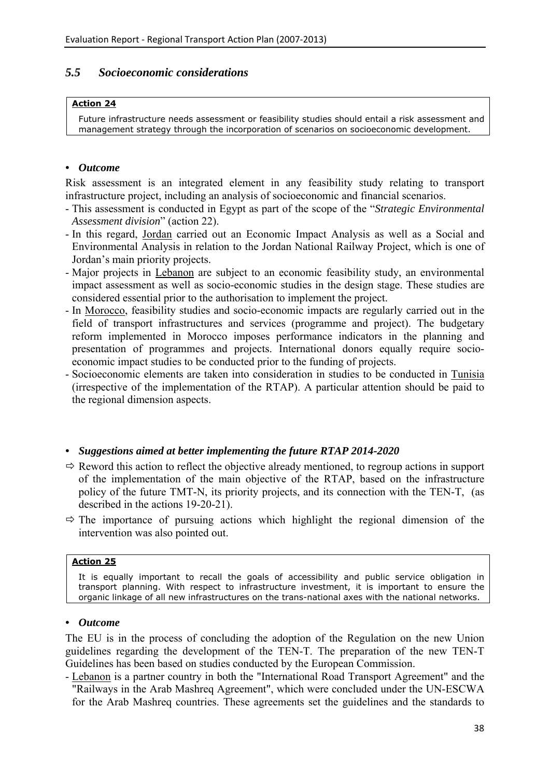# <span id="page-38-0"></span>*5.5 Socioeconomic considerations*

#### **Action 24**

Future infrastructure needs assessment or feasibility studies should entail a risk assessment and management strategy through the incorporation of scenarios on socioeconomic development.

### *• Outcome*

Risk assessment is an integrated element in any feasibility study relating to transport infrastructure project, including an analysis of socioeconomic and financial scenarios.

- This assessment is conducted in Egypt as part of the scope of the "*Strategic Environmental Assessment division*" (action 22).
- In this regard, Jordan carried out an Economic Impact Analysis as well as a Social and Environmental Analysis in relation to the Jordan National Railway Project, which is one of Jordan's main priority projects.
- Major projects in Lebanon are subject to an economic feasibility study, an environmental impact assessment as well as socio-economic studies in the design stage. These studies are considered essential prior to the authorisation to implement the project.
- In Morocco, feasibility studies and socio-economic impacts are regularly carried out in the field of transport infrastructures and services (programme and project). The budgetary reform implemented in Morocco imposes performance indicators in the planning and presentation of programmes and projects. International donors equally require socioeconomic impact studies to be conducted prior to the funding of projects.
- Socioeconomic elements are taken into consideration in studies to be conducted in Tunisia (irrespective of the implementation of the RTAP). A particular attention should be paid to the regional dimension aspects.

# *• Suggestions aimed at better implementing the future RTAP 2014-2020*

- $\Rightarrow$  Reword this action to reflect the objective already mentioned, to regroup actions in support of the implementation of the main objective of the RTAP, based on the infrastructure policy of the future TMT-N, its priority projects, and its connection with the TEN-T, (as described in the actions 19-20-21).
- $\Rightarrow$  The importance of pursuing actions which highlight the regional dimension of the intervention was also pointed out.

#### **Action 25**

It is equally important to recall the goals of accessibility and public service obligation in transport planning. With respect to infrastructure investment, it is important to ensure the organic linkage of all new infrastructures on the trans-national axes with the national networks.

#### *• Outcome*

The EU is in the process of concluding the adoption of the Regulation on the new Union guidelines regarding the development of the TEN-T. The preparation of the new TEN-T Guidelines has been based on studies conducted by the European Commission.

- Lebanon is a partner country in both the "International Road Transport Agreement" and the "Railways in the Arab Mashreq Agreement", which were concluded under the UN-ESCWA for the Arab Mashreq countries. These agreements set the guidelines and the standards to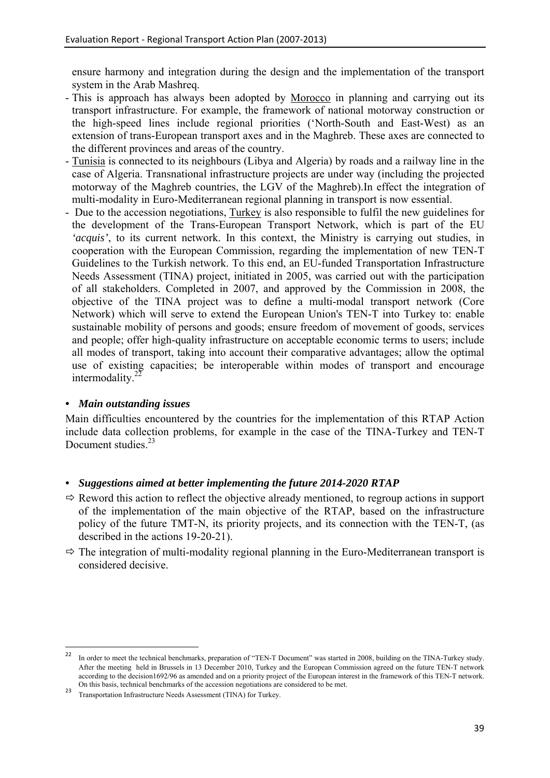ensure harmony and integration during the design and the implementation of the transport system in the Arab Mashreq.

- This is approach has always been adopted by Morocco in planning and carrying out its transport infrastructure. For example, the framework of national motorway construction or the high-speed lines include regional priorities ('North-South and East-West) as an extension of trans-European transport axes and in the Maghreb. These axes are connected to the different provinces and areas of the country.
- Tunisia is connected to its neighbours (Libya and Algeria) by roads and a railway line in the case of Algeria. Transnational infrastructure projects are under way (including the projected motorway of the Maghreb countries, the LGV of the Maghreb).In effect the integration of multi-modality in Euro-Mediterranean regional planning in transport is now essential.
- Due to the accession negotiations, Turkey is also responsible to fulfil the new guidelines for the development of the Trans-European Transport Network, which is part of the EU *'acquis'*, to its current network. In this context, the Ministry is carrying out studies, in cooperation with the European Commission, regarding the implementation of new TEN-T Guidelines to the Turkish network. To this end, an EU-funded Transportation Infrastructure Needs Assessment (TINA) project, initiated in 2005, was carried out with the participation of all stakeholders. Completed in 2007, and approved by the Commission in 2008, the objective of the TINA project was to define a multi-modal transport network (Core Network) which will serve to extend the European Union's TEN-T into Turkey to: enable sustainable mobility of persons and goods; ensure freedom of movement of goods, services and people; offer high-quality infrastructure on acceptable economic terms to users; include all modes of transport, taking into account their comparative advantages; allow the optimal use of existing capacities; be interoperable within modes of transport and encourage intermodality. $22$

# *• Main outstanding issues*

Main difficulties encountered by the countries for the implementation of this RTAP Action include data collection problems, for example in the case of the TINA-Turkey and TEN-T Document studies.<sup>23</sup>

- $\Rightarrow$  Reword this action to reflect the objective already mentioned, to regroup actions in support of the implementation of the main objective of the RTAP, based on the infrastructure policy of the future TMT-N, its priority projects, and its connection with the TEN-T, (as described in the actions 19-20-21).
- $\Rightarrow$  The integration of multi-modality regional planning in the Euro-Mediterranean transport is considered decisive.

 $22$ 22 In order to meet the technical benchmarks, preparation of "TEN-T Document" was started in 2008, building on the TINA-Turkey study. After the meeting held in Brussels in 13 December 2010, Turkey and the European Commission agreed on the future TEN-T network according to the decision1692/96 as amended and on a priority project of the European interest in the framework of this TEN-T network. On this basis, technical benchmarks of the accession negotiations are considered to be met.

<sup>23</sup> Transportation Infrastructure Needs Assessment (TINA) for Turkey.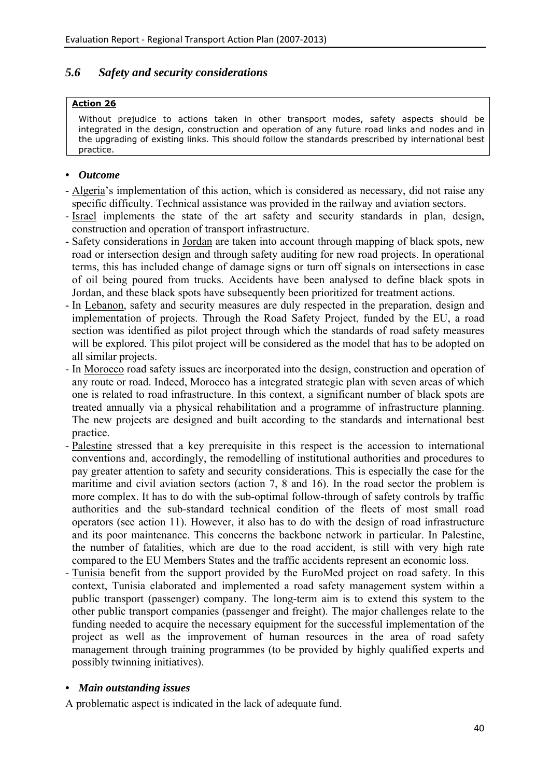# <span id="page-40-0"></span>*5.6 Safety and security considerations*

### **Action 26**

Without prejudice to actions taken in other transport modes, safety aspects should be integrated in the design, construction and operation of any future road links and nodes and in the upgrading of existing links. This should follow the standards prescribed by international best practice.

### *• Outcome*

- Algeria's implementation of this action, which is considered as necessary, did not raise any specific difficulty. Technical assistance was provided in the railway and aviation sectors.
- Israel implements the state of the art safety and security standards in plan, design, construction and operation of transport infrastructure.
- Safety considerations in Jordan are taken into account through mapping of black spots, new road or intersection design and through safety auditing for new road projects. In operational terms, this has included change of damage signs or turn off signals on intersections in case of oil being poured from trucks. Accidents have been analysed to define black spots in Jordan, and these black spots have subsequently been prioritized for treatment actions.
- In Lebanon, safety and security measures are duly respected in the preparation, design and implementation of projects. Through the Road Safety Project, funded by the EU, a road section was identified as pilot project through which the standards of road safety measures will be explored. This pilot project will be considered as the model that has to be adopted on all similar projects.
- In Morocco road safety issues are incorporated into the design, construction and operation of any route or road. Indeed, Morocco has a integrated strategic plan with seven areas of which one is related to road infrastructure. In this context, a significant number of black spots are treated annually via a physical rehabilitation and a programme of infrastructure planning. The new projects are designed and built according to the standards and international best practice.
- Palestine stressed that a key prerequisite in this respect is the accession to international conventions and, accordingly, the remodelling of institutional authorities and procedures to pay greater attention to safety and security considerations. This is especially the case for the maritime and civil aviation sectors (action 7, 8 and 16). In the road sector the problem is more complex. It has to do with the sub-optimal follow-through of safety controls by traffic authorities and the sub-standard technical condition of the fleets of most small road operators (see action 11). However, it also has to do with the design of road infrastructure and its poor maintenance. This concerns the backbone network in particular. In Palestine, the number of fatalities, which are due to the road accident, is still with very high rate compared to the EU Members States and the traffic accidents represent an economic loss.
- Tunisia benefit from the support provided by the EuroMed project on road safety. In this context, Tunisia elaborated and implemented a road safety management system within a public transport (passenger) company. The long-term aim is to extend this system to the other public transport companies (passenger and freight). The major challenges relate to the funding needed to acquire the necessary equipment for the successful implementation of the project as well as the improvement of human resources in the area of road safety management through training programmes (to be provided by highly qualified experts and possibly twinning initiatives).

# *• Main outstanding issues*

A problematic aspect is indicated in the lack of adequate fund.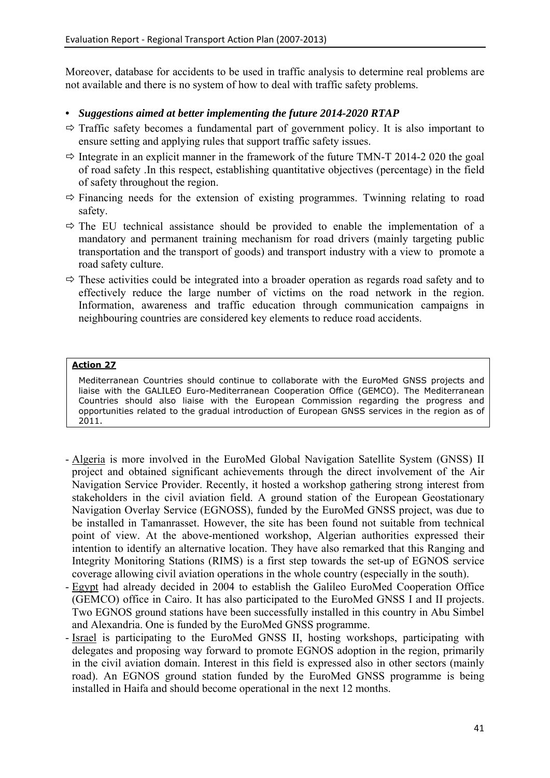Moreover, database for accidents to be used in traffic analysis to determine real problems are not available and there is no system of how to deal with traffic safety problems.

# *• Suggestions aimed at better implementing the future 2014-2020 RTAP*

- $\Rightarrow$  Traffic safety becomes a fundamental part of government policy. It is also important to ensure setting and applying rules that support traffic safety issues.
- $\Rightarrow$  Integrate in an explicit manner in the framework of the future TMN-T 2014-2 020 the goal of road safety .In this respect, establishing quantitative objectives (percentage) in the field of safety throughout the region.
- $\Rightarrow$  Financing needs for the extension of existing programmes. Twinning relating to road safety.
- $\Rightarrow$  The EU technical assistance should be provided to enable the implementation of a mandatory and permanent training mechanism for road drivers (mainly targeting public transportation and the transport of goods) and transport industry with a view to promote a road safety culture.
- $\Rightarrow$  These activities could be integrated into a broader operation as regards road safety and to effectively reduce the large number of victims on the road network in the region. Information, awareness and traffic education through communication campaigns in neighbouring countries are considered key elements to reduce road accidents.

### **Action 27**

Mediterranean Countries should continue to collaborate with the EuroMed GNSS projects and liaise with the GALILEO Euro-Mediterranean Cooperation Office (GEMCO). The Mediterranean Countries should also liaise with the European Commission regarding the progress and opportunities related to the gradual introduction of European GNSS services in the region as of 2011.

- Algeria is more involved in the EuroMed Global Navigation Satellite System (GNSS) II project and obtained significant achievements through the direct involvement of the Air Navigation Service Provider. Recently, it hosted a workshop gathering strong interest from stakeholders in the civil aviation field. A ground station of the European Geostationary Navigation Overlay Service (EGNOSS), funded by the EuroMed GNSS project, was due to be installed in Tamanrasset. However, the site has been found not suitable from technical point of view. At the above-mentioned workshop, Algerian authorities expressed their intention to identify an alternative location. They have also remarked that this Ranging and Integrity Monitoring Stations (RIMS) is a first step towards the set-up of EGNOS service coverage allowing civil aviation operations in the whole country (especially in the south).
- Egypt had already decided in 2004 to establish the Galileo EuroMed Cooperation Office (GEMCO) office in Cairo. It has also participated to the EuroMed GNSS I and II projects. Two EGNOS ground stations have been successfully installed in this country in Abu Simbel and Alexandria. One is funded by the EuroMed GNSS programme.
- Israel is participating to the EuroMed GNSS II, hosting workshops, participating with delegates and proposing way forward to promote EGNOS adoption in the region, primarily in the civil aviation domain. Interest in this field is expressed also in other sectors (mainly road). An EGNOS ground station funded by the EuroMed GNSS programme is being installed in Haifa and should become operational in the next 12 months.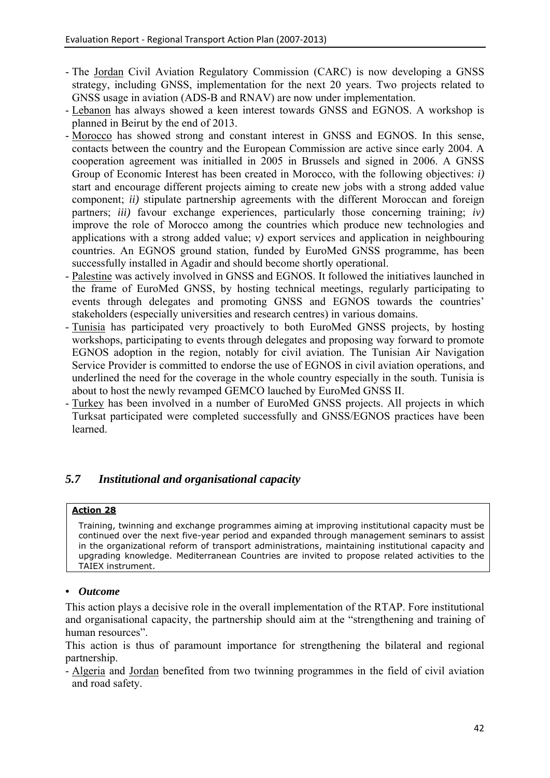- The Jordan Civil Aviation Regulatory Commission (CARC) is now developing a GNSS strategy, including GNSS, implementation for the next 20 years. Two projects related to GNSS usage in aviation (ADS-B and RNAV) are now under implementation.
- Lebanon has always showed a keen interest towards GNSS and EGNOS. A workshop is planned in Beirut by the end of 2013.
- Morocco has showed strong and constant interest in GNSS and EGNOS. In this sense, contacts between the country and the European Commission are active since early 2004. A cooperation agreement was initialled in 2005 in Brussels and signed in 2006. A GNSS Group of Economic Interest has been created in Morocco, with the following objectives: *i)* start and encourage different projects aiming to create new jobs with a strong added value component; *ii)* stipulate partnership agreements with the different Moroccan and foreign partners; *iii)* favour exchange experiences, particularly those concerning training; *iv)* improve the role of Morocco among the countries which produce new technologies and applications with a strong added value; *v)* export services and application in neighbouring countries. An EGNOS ground station, funded by EuroMed GNSS programme, has been successfully installed in Agadir and should become shortly operational.
- Palestine was actively involved in GNSS and EGNOS. It followed the initiatives launched in the frame of EuroMed GNSS, by hosting technical meetings, regularly participating to events through delegates and promoting GNSS and EGNOS towards the countries' stakeholders (especially universities and research centres) in various domains.
- Tunisia has participated very proactively to both EuroMed GNSS projects, by hosting workshops, participating to events through delegates and proposing way forward to promote EGNOS adoption in the region, notably for civil aviation. The Tunisian Air Navigation Service Provider is committed to endorse the use of EGNOS in civil aviation operations, and underlined the need for the coverage in the whole country especially in the south. Tunisia is about to host the newly revamped GEMCO lauched by EuroMed GNSS II.
- Turkey has been involved in a number of EuroMed GNSS projects. All projects in which Turksat participated were completed successfully and GNSS/EGNOS practices have been learned.

# <span id="page-42-0"></span>*5.7 Institutional and organisational capacity*

# **Action 28**

Training, twinning and exchange programmes aiming at improving institutional capacity must be continued over the next five-year period and expanded through management seminars to assist in the organizational reform of transport administrations, maintaining institutional capacity and upgrading knowledge. Mediterranean Countries are invited to propose related activities to the TAIEX instrument.

# *• Outcome*

This action plays a decisive role in the overall implementation of the RTAP. Fore institutional and organisational capacity, the partnership should aim at the "strengthening and training of human resources".

This action is thus of paramount importance for strengthening the bilateral and regional partnership.

- Algeria and Jordan benefited from two twinning programmes in the field of civil aviation and road safety.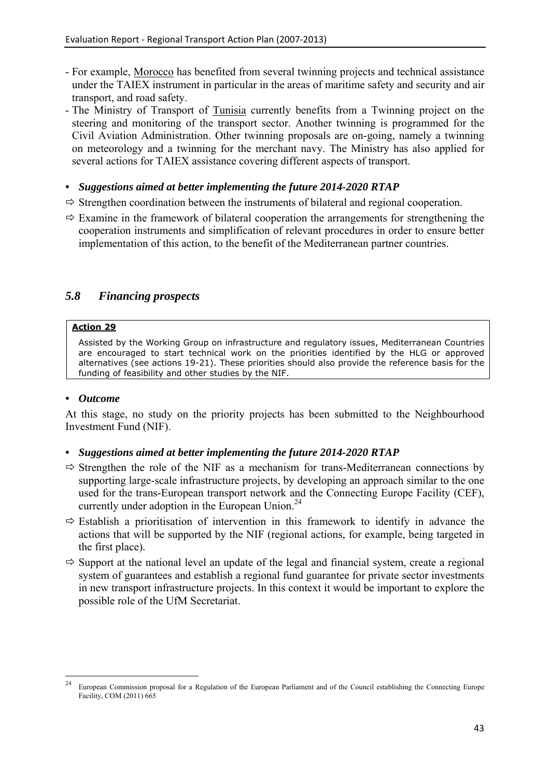- For example, Morocco has benefited from several twinning projects and technical assistance under the TAIEX instrument in particular in the areas of maritime safety and security and air transport, and road safety.
- The Ministry of Transport of Tunisia currently benefits from a Twinning project on the steering and monitoring of the transport sector. Another twinning is programmed for the Civil Aviation Administration. Other twinning proposals are on-going, namely a twinning on meteorology and a twinning for the merchant navy. The Ministry has also applied for several actions for TAIEX assistance covering different aspects of transport.
- *Suggestions aimed at better implementing the future 2014-2020 RTAP*
- $\Rightarrow$  Strengthen coordination between the instruments of bilateral and regional cooperation.
- $\Rightarrow$  Examine in the framework of bilateral cooperation the arrangements for strengthening the cooperation instruments and simplification of relevant procedures in order to ensure better implementation of this action, to the benefit of the Mediterranean partner countries.

# <span id="page-43-0"></span>*5.8 Financing prospects*

# **Action 29**

Assisted by the Working Group on infrastructure and regulatory issues, Mediterranean Countries are encouraged to start technical work on the priorities identified by the HLG or approved alternatives (see actions 19-21). These priorities should also provide the reference basis for the funding of feasibility and other studies by the NIF.

# *• Outcome*

At this stage, no study on the priority projects has been submitted to the Neighbourhood Investment Fund (NIF).

- $\Rightarrow$  Strengthen the role of the NIF as a mechanism for trans-Mediterranean connections by supporting large-scale infrastructure projects, by developing an approach similar to the one used for the trans-European transport network and the Connecting Europe Facility (CEF), currently under adoption in the European Union.<sup>24</sup>
- $\Rightarrow$  Establish a prioritisation of intervention in this framework to identify in advance the actions that will be supported by the NIF (regional actions, for example, being targeted in the first place).
- $\Rightarrow$  Support at the national level an update of the legal and financial system, create a regional system of guarantees and establish a regional fund guarantee for private sector investments in new transport infrastructure projects. In this context it would be important to explore the possible role of the UfM Secretariat.

 $24$ <sup>24</sup> European Commission proposal for a Regulation of the European Parliament and of the Council establishing the Connecting Europe Facility, COM (2011) 665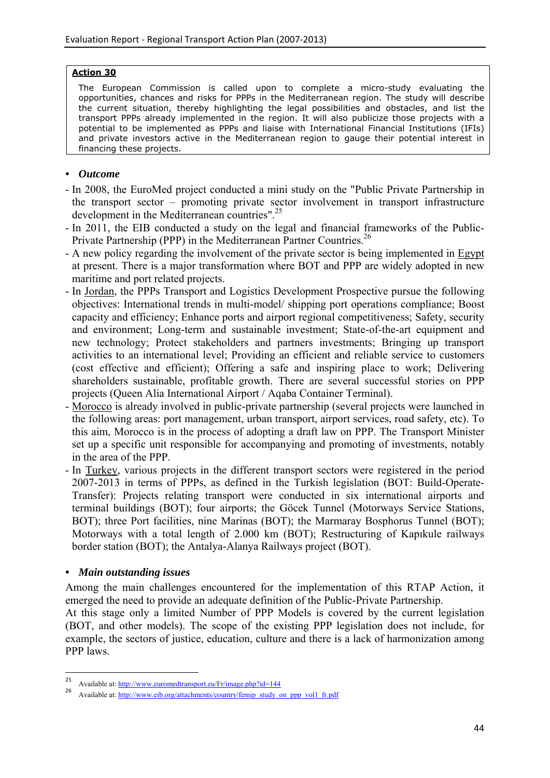#### **Action 30**

The European Commission is called upon to complete a micro-study evaluating the opportunities, chances and risks for PPPs in the Mediterranean region. The study will describe the current situation, thereby highlighting the legal possibilities and obstacles, and list the transport PPPs already implemented in the region. It will also publicize those projects with a potential to be implemented as PPPs and liaise with International Financial Institutions (IFIs) and private investors active in the Mediterranean region to gauge their potential interest in financing these projects.

# *• Outcome*

- In 2008, the EuroMed project conducted a mini study on the "Public Private Partnership in the transport sector – promoting private sector involvement in transport infrastructure development in the Mediterranean countries".25
- In 2011, the EIB conducted a study on the legal and financial frameworks of the Public-Private Partnership (PPP) in the Mediterranean Partner Countries.<sup>26</sup>
- A new policy regarding the involvement of the private sector is being implemented in Egypt at present. There is a major transformation where BOT and PPP are widely adopted in new maritime and port related projects.
- In Jordan, the PPPs Transport and Logistics Development Prospective pursue the following objectives: International trends in multi-model/ shipping port operations compliance; Boost capacity and efficiency; Enhance ports and airport regional competitiveness; Safety, security and environment; Long-term and sustainable investment; State-of-the-art equipment and new technology; Protect stakeholders and partners investments; Bringing up transport activities to an international level; Providing an efficient and reliable service to customers (cost effective and efficient); Offering a safe and inspiring place to work; Delivering shareholders sustainable, profitable growth. There are several successful stories on PPP projects (Queen Alia International Airport / Aqaba Container Terminal).
- Morocco is already involved in public-private partnership (several projects were launched in the following areas: port management, urban transport, airport services, road safety, etc). To this aim, Morocco is in the process of adopting a draft law on PPP. The Transport Minister set up a specific unit responsible for accompanying and promoting of investments, notably in the area of the PPP.
- In Turkey, various projects in the different transport sectors were registered in the period 2007-2013 in terms of PPPs, as defined in the Turkish legislation (BOT: Build-Operate-Transfer): Projects relating transport were conducted in six international airports and terminal buildings (BOT); four airports; the Göcek Tunnel (Motorways Service Stations, BOT); three Port facilities, nine Marinas (BOT); the Marmaray Bosphorus Tunnel (BOT); Motorways with a total length of 2.000 km (BOT); Restructuring of Kapıkule railways border station (BOT); the Antalya-Alanya Railways project (BOT).

# *• Main outstanding issues*

1

Among the main challenges encountered for the implementation of this RTAP Action, it emerged the need to provide an adequate definition of the Public-Private Partnership.

At this stage only a limited Number of PPP Models is covered by the current legislation (BOT, and other models). The scope of the existing PPP legislation does not include, for example, the sectors of justice, education, culture and there is a lack of harmonization among PPP laws.

<sup>25&</sup>lt;br>Available at[: http://www.euromedtransport.eu/Fr/image.php?id=144](http://www.euromedtransport.eu/Fr/image.php?id=144)<br>Available at: http://www.eib.org/attachments/country/femip\_study\_on\_ppp\_vol1\_fr.pdf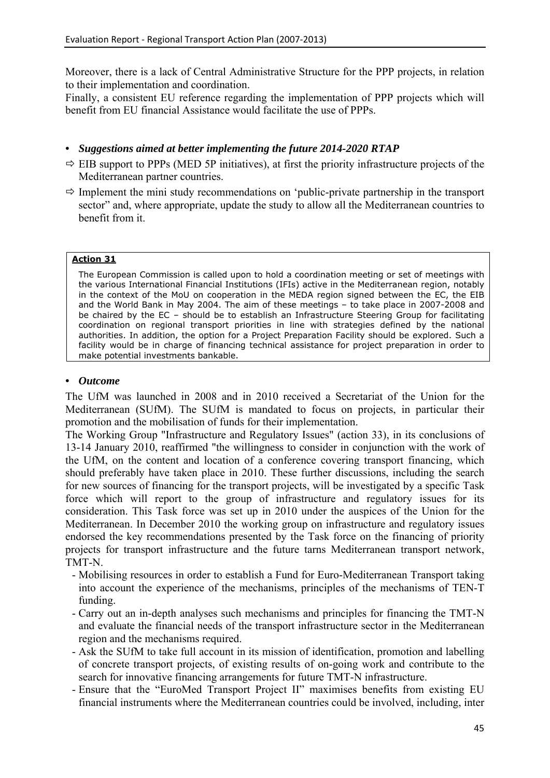Moreover, there is a lack of Central Administrative Structure for the PPP projects, in relation to their implementation and coordination.

Finally, a consistent EU reference regarding the implementation of PPP projects which will benefit from EU financial Assistance would facilitate the use of PPPs.

### *• Suggestions aimed at better implementing the future 2014-2020 RTAP*

- $\Rightarrow$  EIB support to PPPs (MED 5P initiatives), at first the priority infrastructure projects of the Mediterranean partner countries.
- $\Rightarrow$  Implement the mini study recommendations on 'public-private partnership in the transport sector" and, where appropriate, update the study to allow all the Mediterranean countries to benefit from it.

#### **Action 31**

The European Commission is called upon to hold a coordination meeting or set of meetings with the various International Financial Institutions (IFIs) active in the Mediterranean region, notably in the context of the MoU on cooperation in the MEDA region signed between the EC, the EIB and the World Bank in May 2004. The aim of these meetings – to take place in 2007-2008 and be chaired by the EC – should be to establish an Infrastructure Steering Group for facilitating coordination on regional transport priorities in line with strategies defined by the national authorities. In addition, the option for a Project Preparation Facility should be explored. Such a facility would be in charge of financing technical assistance for project preparation in order to make potential investments bankable.

#### *• Outcome*

The UfM was launched in 2008 and in 2010 received a Secretariat of the Union for the Mediterranean (SUfM). The SUfM is mandated to focus on projects, in particular their promotion and the mobilisation of funds for their implementation.

The Working Group "Infrastructure and Regulatory Issues" (action 33), in its conclusions of 13-14 January 2010, reaffirmed "the willingness to consider in conjunction with the work of the UfM, on the content and location of a conference covering transport financing, which should preferably have taken place in 2010. These further discussions, including the search for new sources of financing for the transport projects, will be investigated by a specific Task force which will report to the group of infrastructure and regulatory issues for its consideration. This Task force was set up in 2010 under the auspices of the Union for the Mediterranean. In December 2010 the working group on infrastructure and regulatory issues endorsed the key recommendations presented by the Task force on the financing of priority projects for transport infrastructure and the future tarns Mediterranean transport network, TMT-N.

- Mobilising resources in order to establish a Fund for Euro-Mediterranean Transport taking into account the experience of the mechanisms, principles of the mechanisms of TEN-T funding.
- Carry out an in-depth analyses such mechanisms and principles for financing the TMT-N and evaluate the financial needs of the transport infrastructure sector in the Mediterranean region and the mechanisms required.
- Ask the SUfM to take full account in its mission of identification, promotion and labelling of concrete transport projects, of existing results of on-going work and contribute to the search for innovative financing arrangements for future TMT-N infrastructure.
- Ensure that the "EuroMed Transport Project II" maximises benefits from existing EU financial instruments where the Mediterranean countries could be involved, including, inter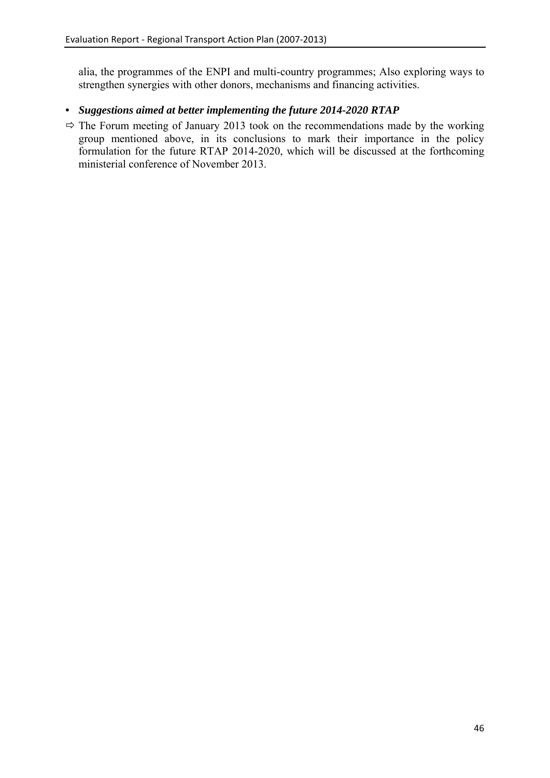alia, the programmes of the ENPI and multi-country programmes; Also exploring ways to strengthen synergies with other donors, mechanisms and financing activities.

# *• Suggestions aimed at better implementing the future 2014-2020 RTAP*

 $\Rightarrow$  The Forum meeting of January 2013 took on the recommendations made by the working group mentioned above, in its conclusions to mark their importance in the policy formulation for the future RTAP 2014-2020, which will be discussed at the forthcoming ministerial conference of November 2013.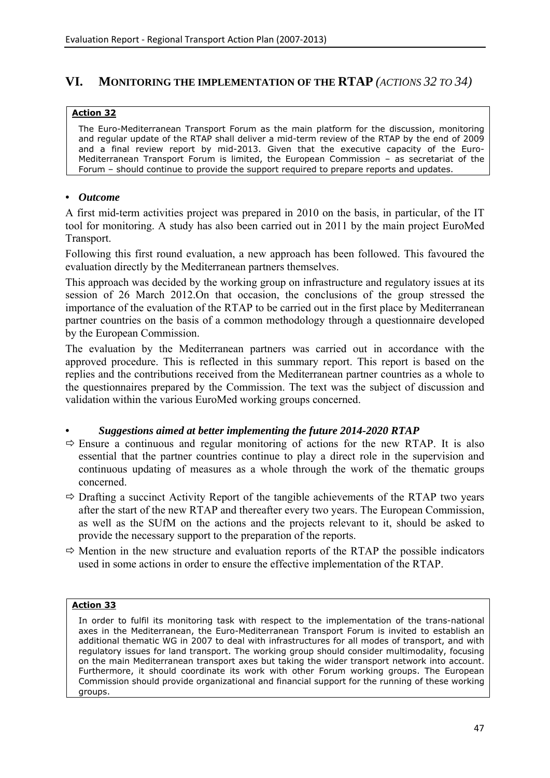# <span id="page-47-0"></span>**VI. MONITORING THE IMPLEMENTATION OF THE RTAP** *(ACTIONS 32 TO 34)*

#### **Action 32**

The Euro-Mediterranean Transport Forum as the main platform for the discussion, monitoring and regular update of the RTAP shall deliver a mid-term review of the RTAP by the end of 2009 and a final review report by mid-2013. Given that the executive capacity of the Euro-Mediterranean Transport Forum is limited, the European Commission – as secretariat of the Forum – should continue to provide the support required to prepare reports and updates.

### *• Outcome*

A first mid-term activities project was prepared in 2010 on the basis, in particular, of the IT tool for monitoring. A study has also been carried out in 2011 by the main project EuroMed Transport.

Following this first round evaluation, a new approach has been followed. This favoured the evaluation directly by the Mediterranean partners themselves.

This approach was decided by the working group on infrastructure and regulatory issues at its session of 26 March 2012.On that occasion, the conclusions of the group stressed the importance of the evaluation of the RTAP to be carried out in the first place by Mediterranean partner countries on the basis of a common methodology through a questionnaire developed by the European Commission.

The evaluation by the Mediterranean partners was carried out in accordance with the approved procedure. This is reflected in this summary report. This report is based on the replies and the contributions received from the Mediterranean partner countries as a whole to the questionnaires prepared by the Commission. The text was the subject of discussion and validation within the various EuroMed working groups concerned.

# *• Suggestions aimed at better implementing the future 2014-2020 RTAP*

- $\Rightarrow$  Ensure a continuous and regular monitoring of actions for the new RTAP. It is also essential that the partner countries continue to play a direct role in the supervision and continuous updating of measures as a whole through the work of the thematic groups concerned.
- $\Rightarrow$  Drafting a succinct Activity Report of the tangible achievements of the RTAP two years after the start of the new RTAP and thereafter every two years. The European Commission, as well as the SUfM on the actions and the projects relevant to it, should be asked to provide the necessary support to the preparation of the reports.
- $\Rightarrow$  Mention in the new structure and evaluation reports of the RTAP the possible indicators used in some actions in order to ensure the effective implementation of the RTAP.

#### **Action 33**

In order to fulfil its monitoring task with respect to the implementation of the trans-national axes in the Mediterranean, the Euro-Mediterranean Transport Forum is invited to establish an additional thematic WG in 2007 to deal with infrastructures for all modes of transport, and with regulatory issues for land transport. The working group should consider multimodality, focusing on the main Mediterranean transport axes but taking the wider transport network into account. Furthermore, it should coordinate its work with other Forum working groups. The European Commission should provide organizational and financial support for the running of these working groups.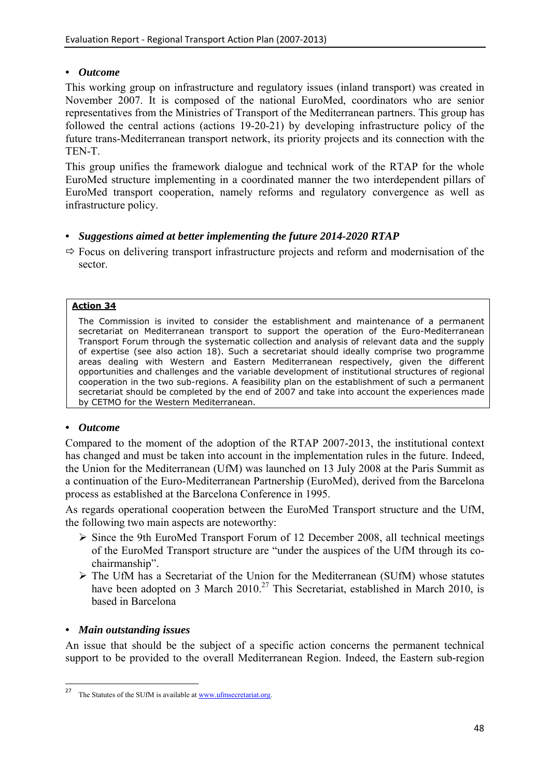# *• Outcome*

This working group on infrastructure and regulatory issues (inland transport) was created in November 2007. It is composed of the national EuroMed, coordinators who are senior representatives from the Ministries of Transport of the Mediterranean partners. This group has followed the central actions (actions 19-20-21) by developing infrastructure policy of the future trans-Mediterranean transport network, its priority projects and its connection with the TEN-T.

This group unifies the framework dialogue and technical work of the RTAP for the whole EuroMed structure implementing in a coordinated manner the two interdependent pillars of EuroMed transport cooperation, namely reforms and regulatory convergence as well as infrastructure policy.

# *• Suggestions aimed at better implementing the future 2014-2020 RTAP*

 $\Rightarrow$  Focus on delivering transport infrastructure projects and reform and modernisation of the sector.

# **Action 34**

The Commission is invited to consider the establishment and maintenance of a permanent secretariat on Mediterranean transport to support the operation of the Euro-Mediterranean Transport Forum through the systematic collection and analysis of relevant data and the supply of expertise (see also action 18). Such a secretariat should ideally comprise two programme areas dealing with Western and Eastern Mediterranean respectively, given the different opportunities and challenges and the variable development of institutional structures of regional cooperation in the two sub-regions. A feasibility plan on the establishment of such a permanent secretariat should be completed by the end of 2007 and take into account the experiences made by CETMO for the Western Mediterranean.

# *• Outcome*

Compared to the moment of the adoption of the RTAP 2007-2013, the institutional context has changed and must be taken into account in the implementation rules in the future. Indeed, the Union for the Mediterranean (UfM) was launched on 13 July 2008 at the Paris Summit as a continuation of the Euro-Mediterranean Partnership (EuroMed), derived from the Barcelona process as established at the Barcelona Conference in 1995.

As regards operational cooperation between the EuroMed Transport structure and the UfM, the following two main aspects are noteworthy:

- ¾ Since the 9th EuroMed Transport Forum of 12 December 2008, all technical meetings of the EuroMed Transport structure are "under the auspices of the UfM through its cochairmanship".
- $\triangleright$  The UfM has a Secretariat of the Union for the Mediterranean (SUfM) whose statutes have been adopted on 3 March  $2010^{27}$  This Secretariat, established in March 2010, is based in Barcelona

# *• Main outstanding issues*

An issue that should be the subject of a specific action concerns the permanent technical support to be provided to the overall Mediterranean Region. Indeed, the Eastern sub-region

 $27$ The Statutes of the SUfM is available at www.ufmsecretariat.org.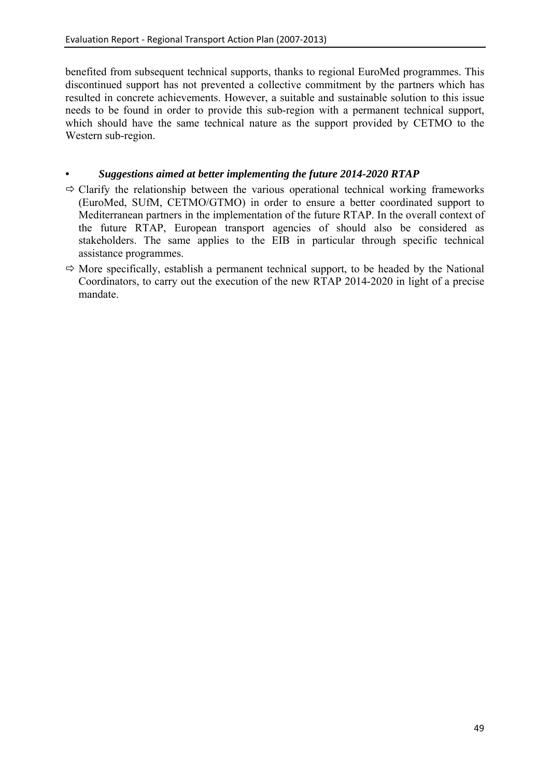benefited from subsequent technical supports, thanks to regional EuroMed programmes. This discontinued support has not prevented a collective commitment by the partners which has resulted in concrete achievements. However, a suitable and sustainable solution to this issue needs to be found in order to provide this sub-region with a permanent technical support, which should have the same technical nature as the support provided by CETMO to the Western sub-region.

- $\Rightarrow$  Clarify the relationship between the various operational technical working frameworks (EuroMed, SUfM, CETMO/GTMO) in order to ensure a better coordinated support to Mediterranean partners in the implementation of the future RTAP. In the overall context of the future RTAP, European transport agencies of should also be considered as stakeholders. The same applies to the EIB in particular through specific technical assistance programmes.
- $\Rightarrow$  More specifically, establish a permanent technical support, to be headed by the National Coordinators, to carry out the execution of the new RTAP 2014-2020 in light of a precise mandate.